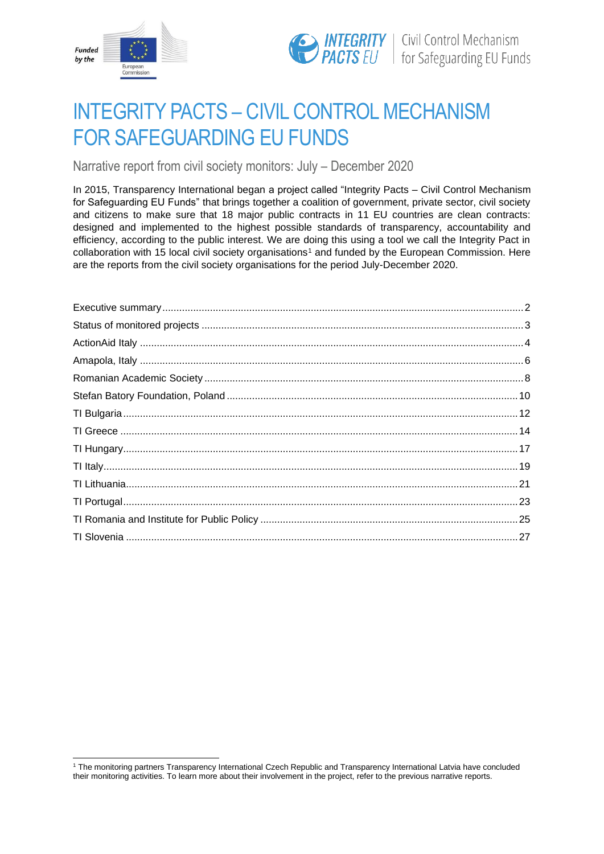



# INTEGRITY PACTS – CIVIL CONTROL MECHANISM FOR SAFEGUARDING EU FUNDS

Narrative report from civil society monitors: July – December 2020

In 2015, Transparency International began a project called "Integrity Pacts – Civil Control Mechanism for Safeguarding EU Funds" that brings together a coalition of government, private sector, civil society and citizens to make sure that 18 major public contracts in 11 EU countries are clean contracts: designed and implemented to the highest possible standards of transparency, accountability and efficiency, according to the public interest. We are doing this using a tool we call the Integrity Pact in collaboration with 15 local civil society organisations<sup>1</sup> and funded by the European Commission. Here are the reports from the civil society organisations for the period July-December 2020.

<sup>1</sup> The monitoring partners Transparency International Czech Republic and Transparency International Latvia have concluded their monitoring activities. To learn more about their involvement in the project, refer to the previous narrative reports.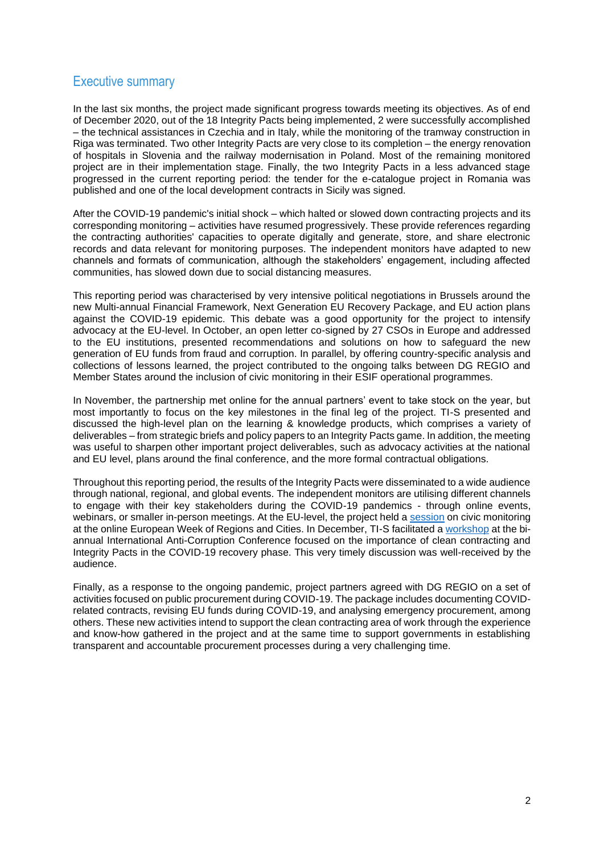# <span id="page-1-0"></span>Executive summary

In the last six months, the project made significant progress towards meeting its objectives. As of end of December 2020, out of the 18 Integrity Pacts being implemented, 2 were successfully accomplished – the technical assistances in Czechia and in Italy, while the monitoring of the tramway construction in Riga was terminated. Two other Integrity Pacts are very close to its completion – the energy renovation of hospitals in Slovenia and the railway modernisation in Poland. Most of the remaining monitored project are in their implementation stage. Finally, the two Integrity Pacts in a less advanced stage progressed in the current reporting period: the tender for the e-catalogue project in Romania was published and one of the local development contracts in Sicily was signed.

After the COVID-19 pandemic's initial shock – which halted or slowed down contracting projects and its corresponding monitoring – activities have resumed progressively. These provide references regarding the contracting authorities' capacities to operate digitally and generate, store, and share electronic records and data relevant for monitoring purposes. The independent monitors have adapted to new channels and formats of communication, although the stakeholders' engagement, including affected communities, has slowed down due to social distancing measures.

This reporting period was characterised by very intensive political negotiations in Brussels around the new Multi-annual Financial Framework, Next Generation EU Recovery Package, and EU action plans against the COVID-19 epidemic. This debate was a good opportunity for the project to intensify advocacy at the EU-level. In October, an open letter co-signed by 27 CSOs in Europe and addressed to the EU institutions, presented recommendations and solutions on how to safeguard the new generation of EU funds from fraud and corruption. In parallel, by offering country-specific analysis and collections of lessons learned, the project contributed to the ongoing talks between DG REGIO and Member States around the inclusion of civic monitoring in their ESIF operational programmes.

In November, the partnership met online for the annual partners' event to take stock on the year, but most importantly to focus on the key milestones in the final leg of the project. TI-S presented and discussed the high-level plan on the learning & knowledge products, which comprises a variety of deliverables – from strategic briefs and policy papers to an Integrity Pacts game. In addition, the meeting was useful to sharpen other important project deliverables, such as advocacy activities at the national and EU level, plans around the final conference, and the more formal contractual obligations.

Throughout this reporting period, the results of the Integrity Pacts were disseminated to a wide audience through national, regional, and global events. The independent monitors are utilising different channels to engage with their key stakeholders during the COVID-19 pandemics - through online events, webinars, or smaller in-person meetings. At the EU-level, the project held a [session](https://europa.eu/regions-and-cities/programme/sessions/1465_en) on civic monitoring at the online European Week of Regions and Cities. In December, TI-S facilitated a [workshop](https://vimeo.com/499180545) at the biannual International Anti-Corruption Conference focused on the importance of clean contracting and Integrity Pacts in the COVID-19 recovery phase. This very timely discussion was well-received by the audience.

Finally, as a response to the ongoing pandemic, project partners agreed with DG REGIO on a set of activities focused on public procurement during COVID-19. The package includes documenting COVIDrelated contracts, revising EU funds during COVID-19, and analysing emergency procurement, among others. These new activities intend to support the clean contracting area of work through the experience and know-how gathered in the project and at the same time to support governments in establishing transparent and accountable procurement processes during a very challenging time.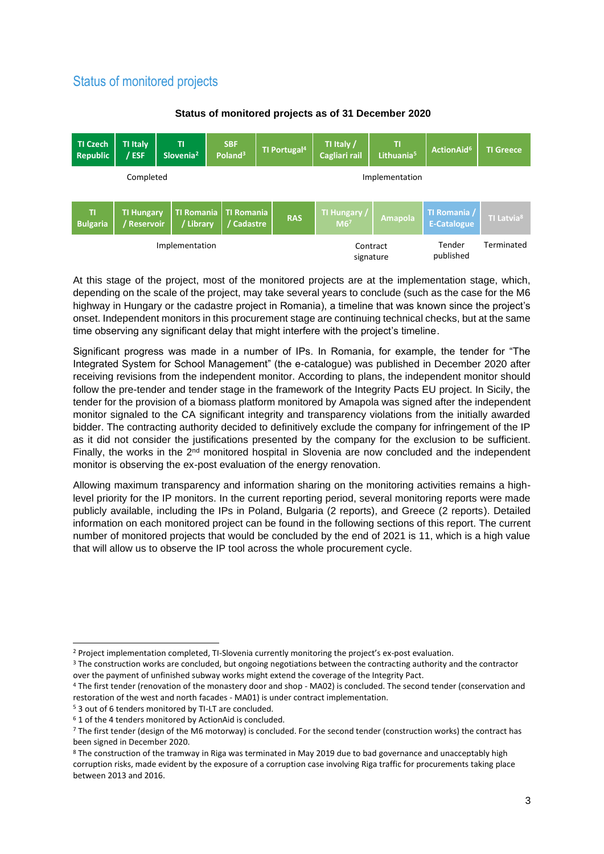# <span id="page-2-0"></span>Status of monitored projects



# **Status of monitored projects as of 31 December 2020**

At this stage of the project, most of the monitored projects are at the implementation stage, which, depending on the scale of the project, may take several years to conclude (such as the case for the M6 highway in Hungary or the cadastre project in Romania), a timeline that was known since the project's onset. Independent monitors in this procurement stage are continuing technical checks, but at the same time observing any significant delay that might interfere with the project's timeline.

Significant progress was made in a number of IPs. In Romania, for example, the tender for "The Integrated System for School Management" (the e-catalogue) was published in December 2020 after receiving revisions from the independent monitor. According to plans, the independent monitor should follow the pre-tender and tender stage in the framework of the Integrity Pacts EU project. In Sicily, the tender for the provision of a biomass platform monitored by Amapola was signed after the independent monitor signaled to the CA significant integrity and transparency violations from the initially awarded bidder. The contracting authority decided to definitively exclude the company for infringement of the IP as it did not consider the justifications presented by the company for the exclusion to be sufficient. Finally, the works in the  $2<sup>nd</sup>$  monitored hospital in Slovenia are now concluded and the independent monitor is observing the ex-post evaluation of the energy renovation.

Allowing maximum transparency and information sharing on the monitoring activities remains a highlevel priority for the IP monitors. In the current reporting period, several monitoring reports were made publicly available, including the IPs in Poland, Bulgaria (2 reports), and Greece (2 reports). Detailed information on each monitored project can be found in the following sections of this report. The current number of monitored projects that would be concluded by the end of 2021 is 11, which is a high value that will allow us to observe the IP tool across the whole procurement cycle.

<sup>2</sup> Project implementation completed, TI-Slovenia currently monitoring the project's ex-post evaluation.

<sup>&</sup>lt;sup>3</sup> The construction works are concluded, but ongoing negotiations between the contracting authority and the contractor over the payment of unfinished subway works might extend the coverage of the Integrity Pact.

<sup>4</sup> The first tender (renovation of the monastery door and shop - MA02) is concluded. The second tender (conservation and restoration of the west and north facades - MA01) is under contract implementation.

<sup>5</sup> 3 out of 6 tenders monitored by TI-LT are concluded.

<sup>6</sup> 1 of the 4 tenders monitored by ActionAid is concluded.

<sup>&</sup>lt;sup>7</sup> The first tender (design of the M6 motorway) is concluded. For the second tender (construction works) the contract has been signed in December 2020.

<sup>8</sup> The construction of the tramway in Riga was terminated in May 2019 due to bad governance and unacceptably high corruption risks, made evident by the exposure of a corruption case involving Riga traffic for procurements taking place between 2013 and 2016.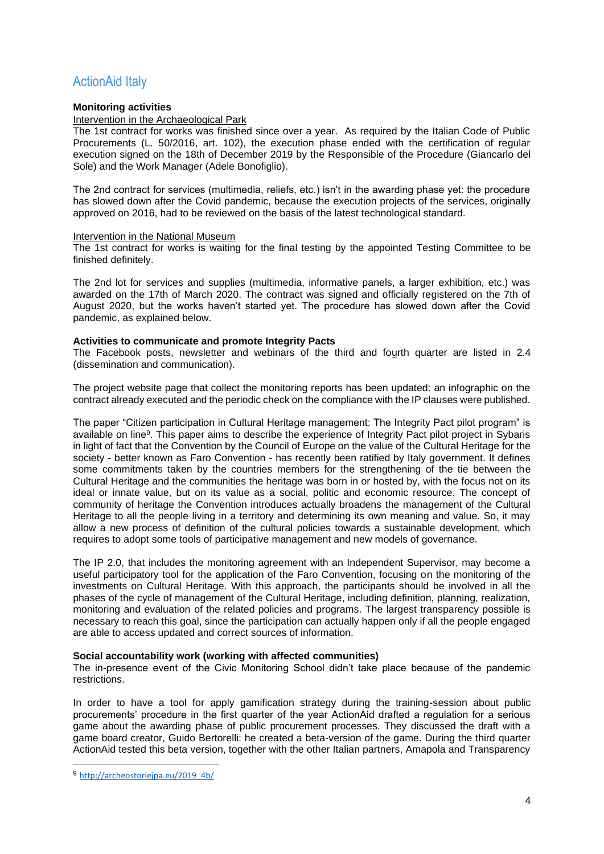# <span id="page-3-0"></span>ActionAid Italy

# **Monitoring activities**

Intervention in the Archaeological Park

The 1st contract for works was finished since over a year. As required by the Italian Code of Public Procurements (L. 50/2016, art. 102), the execution phase ended with the certification of regular execution signed on the 18th of December 2019 by the Responsible of the Procedure (Giancarlo del Sole) and the Work Manager (Adele Bonofiglio).

The 2nd contract for services (multimedia, reliefs, etc.) isn't in the awarding phase yet: the procedure has slowed down after the Covid pandemic, because the execution projects of the services, originally approved on 2016, had to be reviewed on the basis of the latest technological standard.

#### Intervention in the National Museum

The 1st contract for works is waiting for the final testing by the appointed Testing Committee to be finished definitely.

The 2nd lot for services and supplies (multimedia, informative panels, a larger exhibition, etc.) was awarded on the 17th of March 2020. The contract was signed and officially registered on the 7th of August 2020, but the works haven't started yet. The procedure has slowed down after the Covid pandemic, as explained below.

#### **Activities to communicate and promote Integrity Pacts**

The Facebook posts, newsletter and webinars of the third and fourth quarter are listed in 2.4 (dissemination and communication).

The project website page that collect the monitoring reports has been updated: an infographic on the contract already executed and the periodic check on the compliance with the IP clauses were published.

The paper "Citizen participation in Cultural Heritage management: The Integrity Pact pilot program" is available on line<sup>9</sup>. This paper aims to describe the experience of Integrity Pact pilot project in Sybaris in light of fact that the Convention by the Council of Europe on the value of the Cultural Heritage for the society - better known as Faro Convention - has recently been ratified by Italy government. It defines some commitments taken by the countries members for the strengthening of the tie between the Cultural Heritage and the communities the heritage was born in or hosted by, with the focus not on its ideal or innate value, but on its value as a social, politic and economic resource. The concept of community of heritage the Convention introduces actually broadens the management of the Cultural Heritage to all the people living in a territory and determining its own meaning and value. So, it may allow a new process of definition of the cultural policies towards a sustainable development, which requires to adopt some tools of participative management and new models of governance.

The IP 2.0, that includes the monitoring agreement with an Independent Supervisor, may become a useful participatory tool for the application of the Faro Convention, focusing on the monitoring of the investments on Cultural Heritage. With this approach, the participants should be involved in all the phases of the cycle of management of the Cultural Heritage, including definition, planning, realization, monitoring and evaluation of the related policies and programs. The largest transparency possible is necessary to reach this goal, since the participation can actually happen only if all the people engaged are able to access updated and correct sources of information.

#### **Social accountability work (working with affected communities)**

The in-presence event of the Civic Monitoring School didn't take place because of the pandemic restrictions.

In order to have a tool for apply gamification strategy during the training-session about public procurements' procedure in the first quarter of the year ActionAid drafted a regulation for a serious game about the awarding phase of public procurement processes. They discussed the draft with a game board creator, Guido Bertorelli: he created a beta-version of the game. During the third quarter ActionAid tested this beta version, together with the other Italian partners, Amapola and Transparency

<sup>9</sup> [http://archeostoriejpa.eu/2019\\_4b/](http://archeostoriejpa.eu/2019_4b/)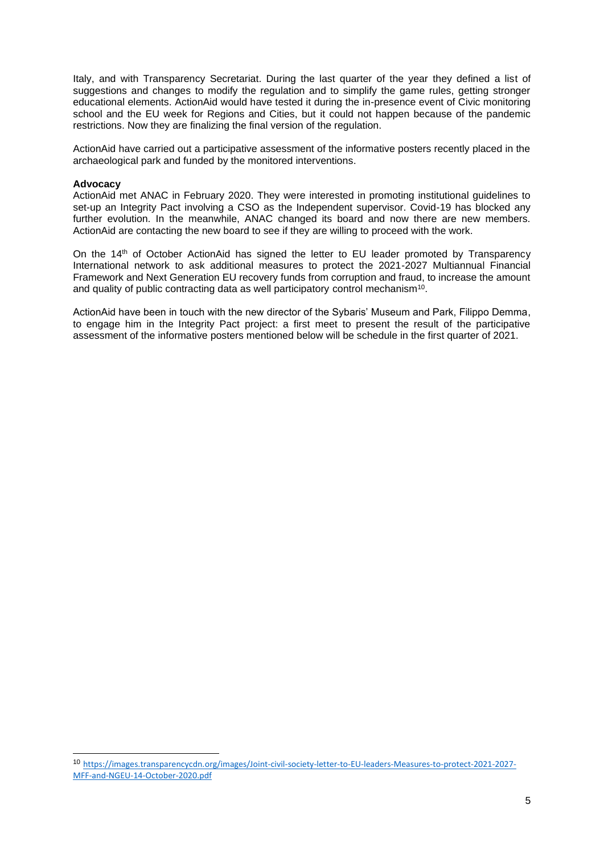Italy, and with Transparency Secretariat. During the last quarter of the year they defined a list of suggestions and changes to modify the regulation and to simplify the game rules, getting stronger educational elements. ActionAid would have tested it during the in-presence event of Civic monitoring school and the EU week for Regions and Cities, but it could not happen because of the pandemic restrictions. Now they are finalizing the final version of the regulation.

ActionAid have carried out a participative assessment of the informative posters recently placed in the archaeological park and funded by the monitored interventions.

#### **Advocacy**

ActionAid met ANAC in February 2020. They were interested in promoting institutional guidelines to set-up an Integrity Pact involving a CSO as the Independent supervisor. Covid-19 has blocked any further evolution. In the meanwhile, ANAC changed its board and now there are new members. ActionAid are contacting the new board to see if they are willing to proceed with the work.

On the 14th of October ActionAid has signed the letter to EU leader promoted by Transparency International network to ask additional measures to protect the 2021-2027 Multiannual Financial Framework and Next Generation EU recovery funds from corruption and fraud, to increase the amount and quality of public contracting data as well participatory control mechanism<sup>10</sup>.

ActionAid have been in touch with the new director of the Sybaris' Museum and Park, Filippo Demma, to engage him in the Integrity Pact project: a first meet to present the result of the participative assessment of the informative posters mentioned below will be schedule in the first quarter of 2021.

<sup>10</sup> [https://images.transparencycdn.org/images/Joint-civil-society-letter-to-EU-leaders-Measures-to-protect-2021-2027-](https://images.transparencycdn.org/images/Joint-civil-society-letter-to-EU-leaders-Measures-to-protect-2021-2027-MFF-and-NGEU-14-October-2020.pdf) [MFF-and-NGEU-14-October-2020.pdf](https://images.transparencycdn.org/images/Joint-civil-society-letter-to-EU-leaders-Measures-to-protect-2021-2027-MFF-and-NGEU-14-October-2020.pdf)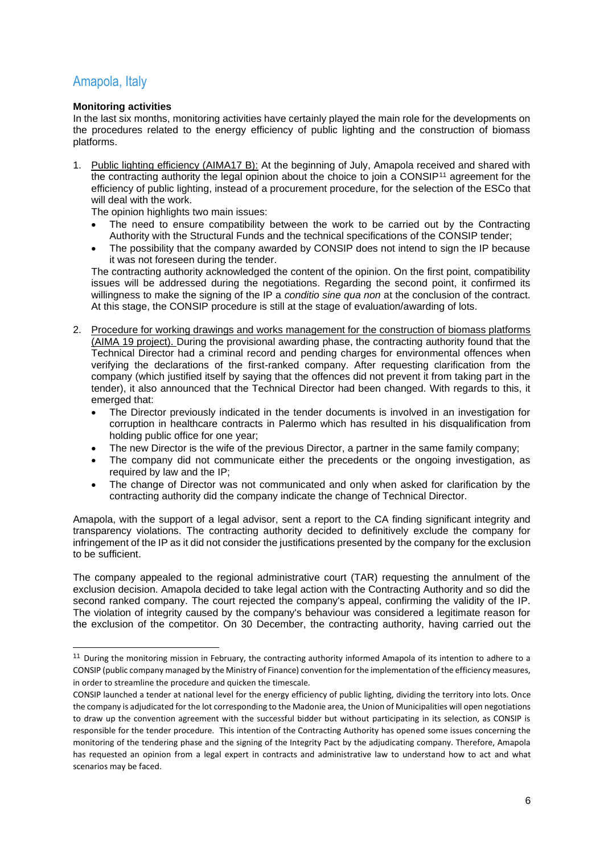# <span id="page-5-0"></span>Amapola, Italy

# **Monitoring activities**

In the last six months, monitoring activities have certainly played the main role for the developments on the procedures related to the energy efficiency of public lighting and the construction of biomass platforms.

1. Public lighting efficiency (AIMA17 B): At the beginning of July, Amapola received and shared with the contracting authority the legal opinion about the choice to join a CONSIP<sup>11</sup> agreement for the efficiency of public lighting, instead of a procurement procedure, for the selection of the ESCo that will deal with the work.

The opinion highlights two main issues:

- The need to ensure compatibility between the work to be carried out by the Contracting Authority with the Structural Funds and the technical specifications of the CONSIP tender;
- The possibility that the company awarded by CONSIP does not intend to sign the IP because it was not foreseen during the tender.

The contracting authority acknowledged the content of the opinion. On the first point, compatibility issues will be addressed during the negotiations. Regarding the second point, it confirmed its willingness to make the signing of the IP a *conditio sine qua non* at the conclusion of the contract. At this stage, the CONSIP procedure is still at the stage of evaluation/awarding of lots.

- 2. Procedure for working drawings and works management for the construction of biomass platforms (AIMA 19 project). During the provisional awarding phase, the contracting authority found that the Technical Director had a criminal record and pending charges for environmental offences when verifying the declarations of the first-ranked company. After requesting clarification from the company (which justified itself by saying that the offences did not prevent it from taking part in the tender), it also announced that the Technical Director had been changed. With regards to this, it emerged that:
	- The Director previously indicated in the tender documents is involved in an investigation for corruption in healthcare contracts in Palermo which has resulted in his disqualification from holding public office for one year;
	- The new Director is the wife of the previous Director, a partner in the same family company;
	- The company did not communicate either the precedents or the ongoing investigation, as required by law and the IP;
	- The change of Director was not communicated and only when asked for clarification by the contracting authority did the company indicate the change of Technical Director.

Amapola, with the support of a legal advisor, sent a report to the CA finding significant integrity and transparency violations. The contracting authority decided to definitively exclude the company for infringement of the IP as it did not consider the justifications presented by the company for the exclusion to be sufficient.

The company appealed to the regional administrative court (TAR) requesting the annulment of the exclusion decision. Amapola decided to take legal action with the Contracting Authority and so did the second ranked company. The court rejected the company's appeal, confirming the validity of the IP. The violation of integrity caused by the company's behaviour was considered a legitimate reason for the exclusion of the competitor. On 30 December, the contracting authority, having carried out the

<sup>&</sup>lt;sup>11</sup> During the monitoring mission in February, the contracting authority informed Amapola of its intention to adhere to a CONSIP (public company managed by the Ministry of Finance) convention for the implementation of the efficiency measures, in order to streamline the procedure and quicken the timescale.

CONSIP launched a tender at national level for the energy efficiency of public lighting, dividing the territory into lots. Once the company is adjudicated for the lot corresponding to the Madonie area, the Union of Municipalities will open negotiations to draw up the convention agreement with the successful bidder but without participating in its selection, as CONSIP is responsible for the tender procedure. This intention of the Contracting Authority has opened some issues concerning the monitoring of the tendering phase and the signing of the Integrity Pact by the adjudicating company. Therefore, Amapola has requested an opinion from a legal expert in contracts and administrative law to understand how to act and what scenarios may be faced.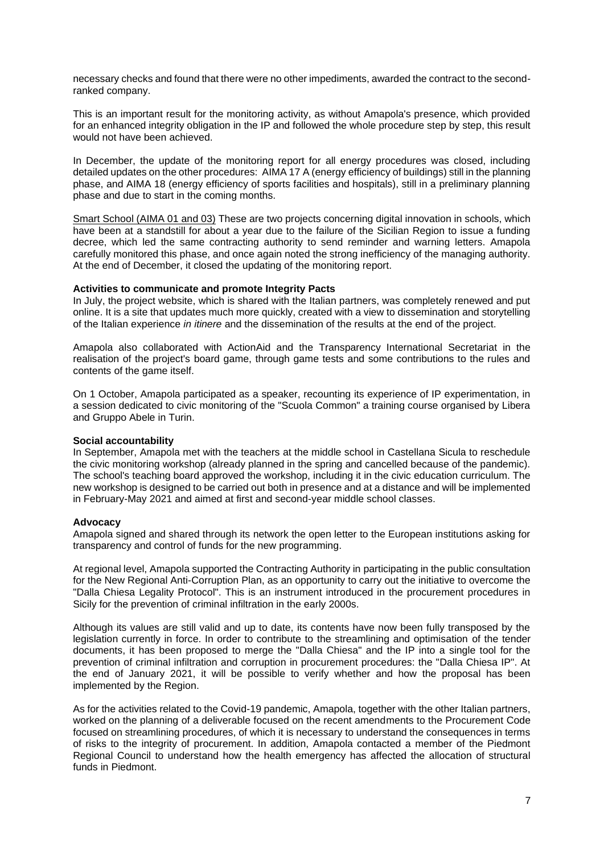necessary checks and found that there were no other impediments, awarded the contract to the secondranked company.

This is an important result for the monitoring activity, as without Amapola's presence, which provided for an enhanced integrity obligation in the IP and followed the whole procedure step by step, this result would not have been achieved.

In December, the update of the monitoring report for all energy procedures was closed, including detailed updates on the other procedures: AIMA 17 A (energy efficiency of buildings) still in the planning phase, and AIMA 18 (energy efficiency of sports facilities and hospitals), still in a preliminary planning phase and due to start in the coming months.

Smart School (AIMA 01 and 03) These are two projects concerning digital innovation in schools, which have been at a standstill for about a year due to the failure of the Sicilian Region to issue a funding decree, which led the same contracting authority to send reminder and warning letters. Amapola carefully monitored this phase, and once again noted the strong inefficiency of the managing authority. At the end of December, it closed the updating of the monitoring report.

#### **Activities to communicate and promote Integrity Pacts**

In July, the project website, which is shared with the Italian partners, was completely renewed and put online. It is a site that updates much more quickly, created with a view to dissemination and storytelling of the Italian experience *in itinere* and the dissemination of the results at the end of the project.

Amapola also collaborated with ActionAid and the Transparency International Secretariat in the realisation of the project's board game, through game tests and some contributions to the rules and contents of the game itself.

On 1 October, Amapola participated as a speaker, recounting its experience of IP experimentation, in a session dedicated to civic monitoring of the "Scuola Common" a training course organised by Libera and Gruppo Abele in Turin.

#### **Social accountability**

In September, Amapola met with the teachers at the middle school in Castellana Sicula to reschedule the civic monitoring workshop (already planned in the spring and cancelled because of the pandemic). The school's teaching board approved the workshop, including it in the civic education curriculum. The new workshop is designed to be carried out both in presence and at a distance and will be implemented in February-May 2021 and aimed at first and second-year middle school classes.

#### **Advocacy**

Amapola signed and shared through its network the open letter to the European institutions asking for transparency and control of funds for the new programming.

At regional level, Amapola supported the Contracting Authority in participating in the public consultation for the New Regional Anti-Corruption Plan, as an opportunity to carry out the initiative to overcome the "Dalla Chiesa Legality Protocol". This is an instrument introduced in the procurement procedures in Sicily for the prevention of criminal infiltration in the early 2000s.

Although its values are still valid and up to date, its contents have now been fully transposed by the legislation currently in force. In order to contribute to the streamlining and optimisation of the tender documents, it has been proposed to merge the "Dalla Chiesa" and the IP into a single tool for the prevention of criminal infiltration and corruption in procurement procedures: the "Dalla Chiesa IP". At the end of January 2021, it will be possible to verify whether and how the proposal has been implemented by the Region.

As for the activities related to the Covid-19 pandemic, Amapola, together with the other Italian partners, worked on the planning of a deliverable focused on the recent amendments to the Procurement Code focused on streamlining procedures, of which it is necessary to understand the consequences in terms of risks to the integrity of procurement. In addition, Amapola contacted a member of the Piedmont Regional Council to understand how the health emergency has affected the allocation of structural funds in Piedmont.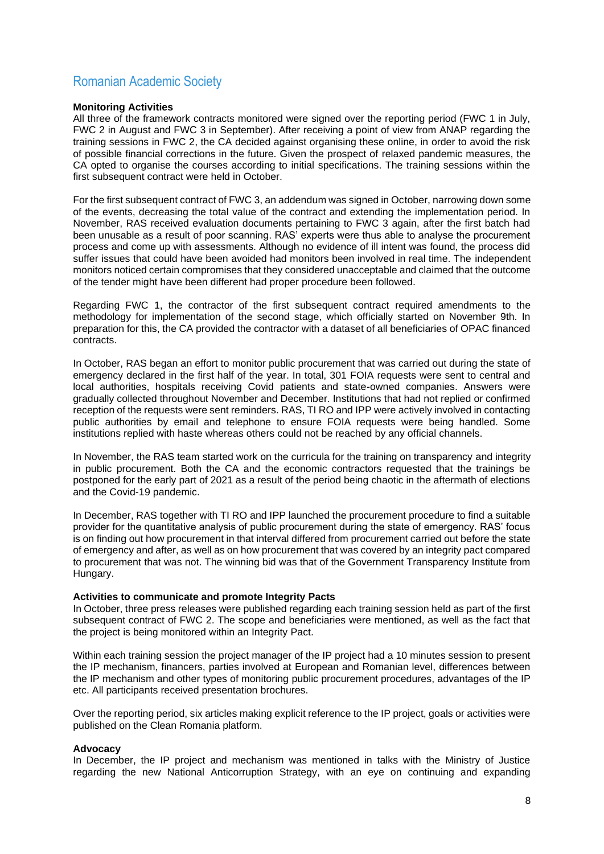# <span id="page-7-0"></span>Romanian Academic Society

# **Monitoring Activities**

All three of the framework contracts monitored were signed over the reporting period (FWC 1 in July, FWC 2 in August and FWC 3 in September). After receiving a point of view from ANAP regarding the training sessions in FWC 2, the CA decided against organising these online, in order to avoid the risk of possible financial corrections in the future. Given the prospect of relaxed pandemic measures, the CA opted to organise the courses according to initial specifications. The training sessions within the first subsequent contract were held in October.

For the first subsequent contract of FWC 3, an addendum was signed in October, narrowing down some of the events, decreasing the total value of the contract and extending the implementation period. In November, RAS received evaluation documents pertaining to FWC 3 again, after the first batch had been unusable as a result of poor scanning. RAS' experts were thus able to analyse the procurement process and come up with assessments. Although no evidence of ill intent was found, the process did suffer issues that could have been avoided had monitors been involved in real time. The independent monitors noticed certain compromises that they considered unacceptable and claimed that the outcome of the tender might have been different had proper procedure been followed.

Regarding FWC 1, the contractor of the first subsequent contract required amendments to the methodology for implementation of the second stage, which officially started on November 9th. In preparation for this, the CA provided the contractor with a dataset of all beneficiaries of OPAC financed contracts.

In October, RAS began an effort to monitor public procurement that was carried out during the state of emergency declared in the first half of the year. In total, 301 FOIA requests were sent to central and local authorities, hospitals receiving Covid patients and state-owned companies. Answers were gradually collected throughout November and December. Institutions that had not replied or confirmed reception of the requests were sent reminders. RAS, TI RO and IPP were actively involved in contacting public authorities by email and telephone to ensure FOIA requests were being handled. Some institutions replied with haste whereas others could not be reached by any official channels.

In November, the RAS team started work on the curricula for the training on transparency and integrity in public procurement. Both the CA and the economic contractors requested that the trainings be postponed for the early part of 2021 as a result of the period being chaotic in the aftermath of elections and the Covid-19 pandemic.

In December, RAS together with TI RO and IPP launched the procurement procedure to find a suitable provider for the quantitative analysis of public procurement during the state of emergency. RAS' focus is on finding out how procurement in that interval differed from procurement carried out before the state of emergency and after, as well as on how procurement that was covered by an integrity pact compared to procurement that was not. The winning bid was that of the Government Transparency Institute from Hungary.

# **Activities to communicate and promote Integrity Pacts**

In October, three press releases were published regarding each training session held as part of the first subsequent contract of FWC 2. The scope and beneficiaries were mentioned, as well as the fact that the project is being monitored within an Integrity Pact.

Within each training session the project manager of the IP project had a 10 minutes session to present the IP mechanism, financers, parties involved at European and Romanian level, differences between the IP mechanism and other types of monitoring public procurement procedures, advantages of the IP etc. All participants received presentation brochures.

Over the reporting period, six articles making explicit reference to the IP project, goals or activities were published on the Clean Romania platform.

#### **Advocacy**

In December, the IP project and mechanism was mentioned in talks with the Ministry of Justice regarding the new National Anticorruption Strategy, with an eye on continuing and expanding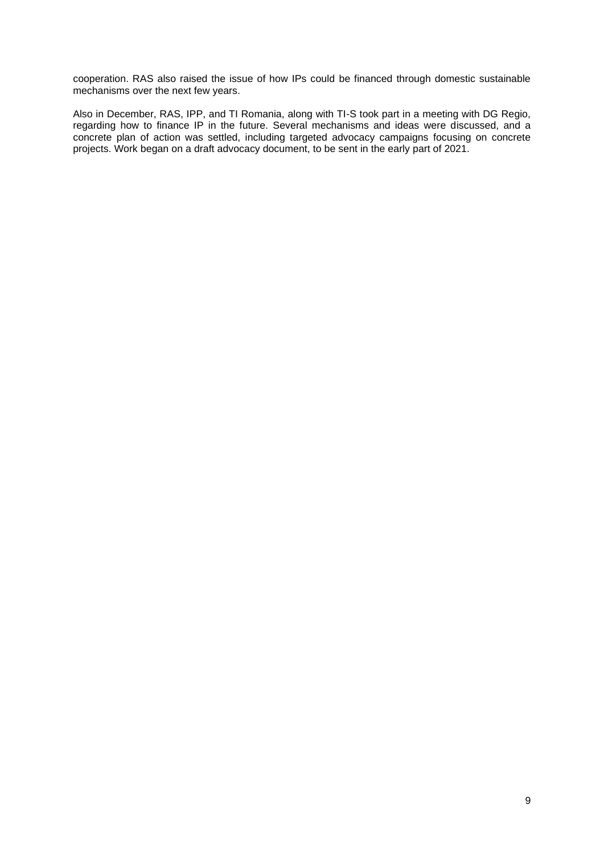cooperation. RAS also raised the issue of how IPs could be financed through domestic sustainable mechanisms over the next few years.

Also in December, RAS, IPP, and TI Romania, along with TI-S took part in a meeting with DG Regio, regarding how to finance IP in the future. Several mechanisms and ideas were discussed, and a concrete plan of action was settled, including targeted advocacy campaigns focusing on concrete projects. Work began on a draft advocacy document, to be sent in the early part of 2021.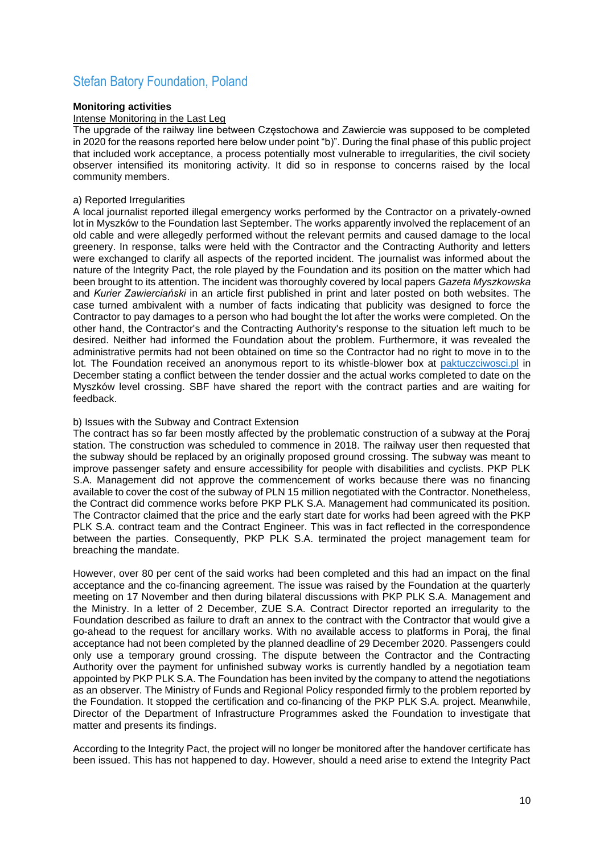# <span id="page-9-0"></span>Stefan Batory Foundation, Poland

#### **Monitoring activities**

#### Intense Monitoring in the Last Leg

The upgrade of the railway line between Częstochowa and Zawiercie was supposed to be completed in 2020 for the reasons reported here below under point "b)". During the final phase of this public project that included work acceptance, a process potentially most vulnerable to irregularities, the civil society observer intensified its monitoring activity. It did so in response to concerns raised by the local community members.

#### a) Reported Irregularities

A local journalist reported illegal emergency works performed by the Contractor on a privately-owned lot in Myszków to the Foundation last September. The works apparently involved the replacement of an old cable and were allegedly performed without the relevant permits and caused damage to the local greenery. In response, talks were held with the Contractor and the Contracting Authority and letters were exchanged to clarify all aspects of the reported incident. The journalist was informed about the nature of the Integrity Pact, the role played by the Foundation and its position on the matter which had been brought to its attention. The incident was thoroughly covered by local papers *Gazeta Myszkowska* and *Kurier Zawierciański* in an article first published in print and later posted on both websites. The case turned ambivalent with a number of facts indicating that publicity was designed to force the Contractor to pay damages to a person who had bought the lot after the works were completed. On the other hand, the Contractor's and the Contracting Authority's response to the situation left much to be desired. Neither had informed the Foundation about the problem. Furthermore, it was revealed the administrative permits had not been obtained on time so the Contractor had no right to move in to the lot. The Foundation received an anonymous report to its whistle-blower box at [paktuczciwosci.pl](http://paktuczciwosci.pl/) in December stating a conflict between the tender dossier and the actual works completed to date on the Myszków level crossing. SBF have shared the report with the contract parties and are waiting for feedback.

#### b) Issues with the Subway and Contract Extension

The contract has so far been mostly affected by the problematic construction of a subway at the Poraj station. The construction was scheduled to commence in 2018. The railway user then requested that the subway should be replaced by an originally proposed ground crossing. The subway was meant to improve passenger safety and ensure accessibility for people with disabilities and cyclists. PKP PLK S.A. Management did not approve the commencement of works because there was no financing available to cover the cost of the subway of PLN 15 million negotiated with the Contractor. Nonetheless, the Contract did commence works before PKP PLK S.A. Management had communicated its position. The Contractor claimed that the price and the early start date for works had been agreed with the PKP PLK S.A. contract team and the Contract Engineer. This was in fact reflected in the correspondence between the parties. Consequently, PKP PLK S.A. terminated the project management team for breaching the mandate.

However, over 80 per cent of the said works had been completed and this had an impact on the final acceptance and the co-financing agreement. The issue was raised by the Foundation at the quarterly meeting on 17 November and then during bilateral discussions with PKP PLK S.A. Management and the Ministry. In a letter of 2 December, ZUE S.A. Contract Director reported an irregularity to the Foundation described as failure to draft an annex to the contract with the Contractor that would give a go-ahead to the request for ancillary works. With no available access to platforms in Poraj, the final acceptance had not been completed by the planned deadline of 29 December 2020. Passengers could only use a temporary ground crossing. The dispute between the Contractor and the Contracting Authority over the payment for unfinished subway works is currently handled by a negotiation team appointed by PKP PLK S.A. The Foundation has been invited by the company to attend the negotiations as an observer. The Ministry of Funds and Regional Policy responded firmly to the problem reported by the Foundation. It stopped the certification and co-financing of the PKP PLK S.A. project. Meanwhile, Director of the Department of Infrastructure Programmes asked the Foundation to investigate that matter and presents its findings.

According to the Integrity Pact, the project will no longer be monitored after the handover certificate has been issued. This has not happened to day. However, should a need arise to extend the Integrity Pact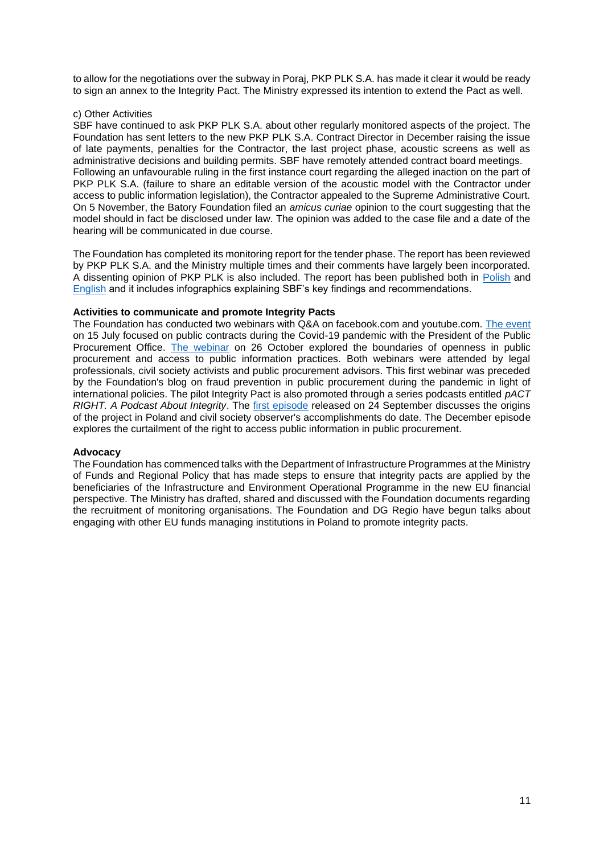to allow for the negotiations over the subway in Poraj, PKP PLK S.A. has made it clear it would be ready to sign an annex to the Integrity Pact. The Ministry expressed its intention to extend the Pact as well.

#### c) Other Activities

SBF have continued to ask PKP PLK S.A. about other regularly monitored aspects of the project. The Foundation has sent letters to the new PKP PLK S.A. Contract Director in December raising the issue of late payments, penalties for the Contractor, the last project phase, acoustic screens as well as administrative decisions and building permits. SBF have remotely attended contract board meetings. Following an unfavourable ruling in the first instance court regarding the alleged inaction on the part of PKP PLK S.A. (failure to share an editable version of the acoustic model with the Contractor under access to public information legislation), the Contractor appealed to the Supreme Administrative Court. On 5 November, the Batory Foundation filed an *amicus curiae* opinion to the court suggesting that the model should in fact be disclosed under law. The opinion was added to the case file and a date of the hearing will be communicated in due course.

The Foundation has completed its monitoring report for the tender phase. The report has been reviewed by PKP PLK S.A. and the Ministry multiple times and their comments have largely been incorporated. A dissenting opinion of PKP PLK is also included. The report has been published both in [Polish](http://paktuczciwosci.pl/homenews/raport-z-tworzenia-paktu-uczciwosci-i-wyboru-wykonawcy/) and [English](http://paktuczciwosci.pl/aktualnosci/the-integrity-pact-a-civil-society-monitoring-of-public-projects-designing-an-integrity-pact-and-the-contractor-selection/) and it includes infographics explaining SBF's key findings and recommendations.

# **Activities to communicate and promote Integrity Pacts**

The Foundation has conducted two webinars with Q&A on facebook.com and youtube.com. [The event](https://www.youtube.com/watch?v=u__ow-G2628) on 15 July focused on public contracts during the Covid-19 pandemic with the President of the Public Procurement Office. [The webinar](https://www.youtube.com/watch?v=YrgVBB6-QB8) on 26 October explored the boundaries of openness in public procurement and access to public information practices. Both webinars were attended by legal professionals, civil society activists and public procurement advisors. This first webinar was preceded by the Foundation's blog on fraud prevention in public procurement during the pandemic in light of international policies. The pilot Integrity Pact is also promoted through a series podcasts entitled *pACT RIGHT. A Podcast About Integrity*. The [first episode](http://paktuczciwosci.pl/homenews/pact-right-podcast-o-uczciwosci-czy-zamowienia-publiczne-moga-byc-bardziej-przejrzyste/) released on 24 September discusses the origins of the project in Poland and civil society observer's accomplishments do date. The December episode explores the curtailment of the right to access public information in public procurement.

#### **Advocacy**

The Foundation has commenced talks with the Department of Infrastructure Programmes at the Ministry of Funds and Regional Policy that has made steps to ensure that integrity pacts are applied by the beneficiaries of the Infrastructure and Environment Operational Programme in the new EU financial perspective. The Ministry has drafted, shared and discussed with the Foundation documents regarding the recruitment of monitoring organisations. The Foundation and DG Regio have begun talks about engaging with other EU funds managing institutions in Poland to promote integrity pacts.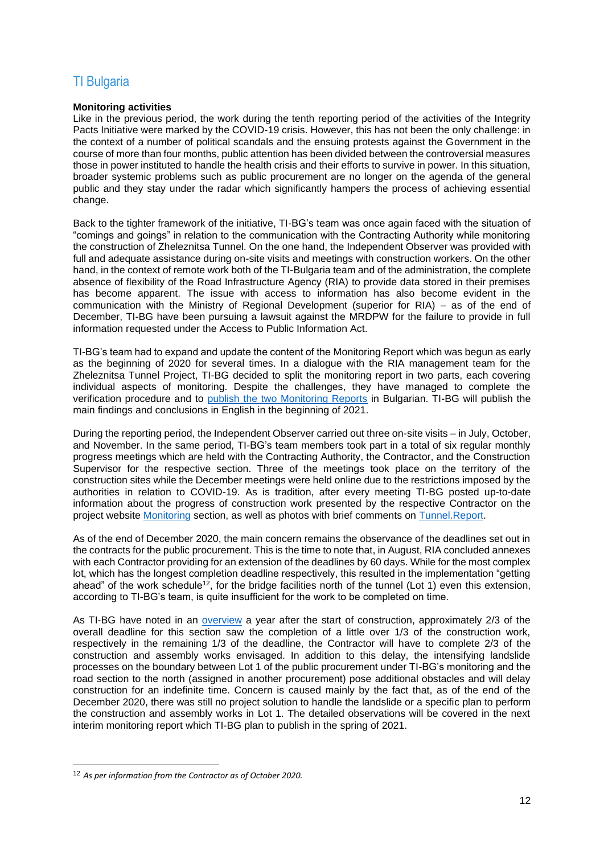# <span id="page-11-0"></span>TI Bulgaria

### **Monitoring activities**

Like in the previous period, the work during the tenth reporting period of the activities of the Integrity Pacts Initiative were marked by the COVID-19 crisis. However, this has not been the only challenge: in the context of a number of political scandals and the ensuing protests against the Government in the course of more than four months, public attention has been divided between the controversial measures those in power instituted to handle the health crisis and their efforts to survive in power. In this situation, broader systemic problems such as public procurement are no longer on the agenda of the general public and they stay under the radar which significantly hampers the process of achieving essential change.

Back to the tighter framework of the initiative, TI-BG's team was once again faced with the situation of "comings and goings" in relation to the communication with the Contracting Authority while monitoring the construction of Zheleznitsa Tunnel. On the one hand, the Independent Observer was provided with full and adequate assistance during on-site visits and meetings with construction workers. On the other hand, in the context of remote work both of the TI-Bulgaria team and of the administration, the complete absence of flexibility of the Road Infrastructure Agency (RIA) to provide data stored in their premises has become apparent. The issue with access to information has also become evident in the communication with the Ministry of Regional Development (superior for RIA) – as of the end of December, TI-BG have been pursuing a lawsuit against the MRDPW for the failure to provide in full information requested under the Access to Public Information Act.

TI-BG's team had to expand and update the content of the Monitoring Report which was begun as early as the beginning of 2020 for several times. In a dialogue with the RIA management team for the Zheleznitsa Tunnel Project, TI-BG decided to split the monitoring report in two parts, each covering individual aspects of monitoring. Despite the challenges, they have managed to complete the verification procedure and to [publish the two Monitoring Reports](https://integrity.transparency.bg/%d0%bf%d1%83%d0%b1%d0%bb%d0%b8%d0%ba%d0%b0%d1%86%d0%b8%d0%b8/) in Bulgarian. TI-BG will publish the main findings and conclusions in English in the beginning of 2021.

During the reporting period, the Independent Observer carried out three on-site visits – in July, October, and November. In the same period, TI-BG's team members took part in a total of six regular monthly progress meetings which are held with the Contracting Authority, the Contractor, and the Construction Supervisor for the respective section. Three of the meetings took place on the territory of the construction sites while the December meetings were held online due to the restrictions imposed by the authorities in relation to COVID-19. As is tradition, after every meeting TI-BG posted up-to-date information about the progress of construction work presented by the respective Contractor on the project website [Monitoring](https://integrity.transparency.bg/en/monitoring/) section, as well as photos with brief comments on [Tunnel.Report.](https://integrity.transparency.bg/gallery/)

As of the end of December 2020, the main concern remains the observance of the deadlines set out in the contracts for the public procurement. This is the time to note that, in August, RIA concluded annexes with each Contractor providing for an extension of the deadlines by 60 days. While for the most complex lot, which has the longest completion deadline respectively, this resulted in the implementation "getting ahead" of the work schedule<sup>12</sup>, for the bridge facilities north of the tunnel (Lot 1) even this extension, according to TI-BG's team, is quite insufficient for the work to be completed on time.

As TI-BG have noted in an [overview](https://integrity.transparency.bg/en/integrity-news/zheleznitsa-tunnel-one-year-of-construction-and-several-facts/) a year after the start of construction, approximately 2/3 of the overall deadline for this section saw the completion of a little over 1/3 of the construction work, respectively in the remaining 1/3 of the deadline, the Contractor will have to complete 2/3 of the construction and assembly works envisaged. In addition to this delay, the intensifying landslide processes on the boundary between Lot 1 of the public procurement under TI-BG's monitoring and the road section to the north (assigned in another procurement) pose additional obstacles and will delay construction for an indefinite time. Concern is caused mainly by the fact that, as of the end of the December 2020, there was still no project solution to handle the landslide or a specific plan to perform the construction and assembly works in Lot 1. The detailed observations will be covered in the next interim monitoring report which TI-BG plan to publish in the spring of 2021.

<sup>12</sup> *As per information from the Contractor as of October 2020.*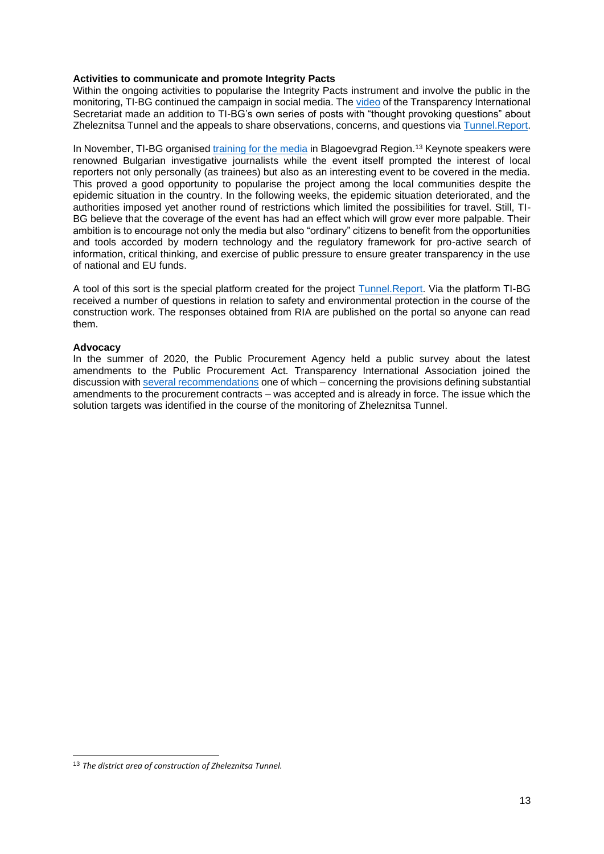#### **Activities to communicate and promote Integrity Pacts**

Within the ongoing activities to popularise the Integrity Pacts instrument and involve the public in the monitoring, TI-BG continued the campaign in social media. The [video](https://www.facebook.com/TIBulgaria/posts/3702232873208192) of the Transparency International Secretariat made an addition to TI-BG's own series of posts with "thought provoking questions" about Zheleznitsa Tunnel and the appeals to share observations, concerns, and questions via [Tunnel.Report.](https://integrity.transparency.bg/tunnel/)

In November, TI-BG organised [training for the media](https://www.facebook.com/TIBulgaria/posts/3775265302571615) in Blagoevgrad Region.<sup>13</sup> Keynote speakers were renowned Bulgarian investigative journalists while the event itself prompted the interest of local reporters not only personally (as trainees) but also as an interesting event to be covered in the media. This proved a good opportunity to popularise the project among the local communities despite the epidemic situation in the country. In the following weeks, the epidemic situation deteriorated, and the authorities imposed yet another round of restrictions which limited the possibilities for travel. Still, TI-BG believe that the coverage of the event has had an effect which will grow ever more palpable. Their ambition is to encourage not only the media but also "ordinary" citizens to benefit from the opportunities and tools accorded by modern technology and the regulatory framework for pro-active search of information, critical thinking, and exercise of public pressure to ensure greater transparency in the use of national and EU funds.

A tool of this sort is the special platform created for the project [Tunnel.Report.](https://integrity.transparency.bg/tunnel/) Via the platform TI-BG received a number of questions in relation to safety and environmental protection in the course of the construction work. The responses obtained from RIA are published on the portal so anyone can read them.

# **Advocacy**

In the summer of 2020, the Public Procurement Agency held a public survey about the latest amendments to the Public Procurement Act. Transparency International Association joined the discussion with [several recommendations](https://integrity.transparency.bg/integrity-news/%d1%81%d1%82%d0%b0%d0%bd%d0%be%d0%b2%d0%b8%d1%89%d0%b5-%d0%be%d1%82%d0%bd%d0%be%d1%81%d0%bd%d0%be-%d0%bf%d1%80%d0%be%d0%b5%d0%ba%d1%82%d0%b0-%d0%bd%d0%b0-%d0%b8%d0%b7%d0%bc%d0%b5%d0%bd%d0%b5%d0%bd/) one of which – concerning the provisions defining substantial amendments to the procurement contracts – was accepted and is already in force. The issue which the solution targets was identified in the course of the monitoring of Zheleznitsa Tunnel.

<sup>13</sup> *The district area of construction of Zheleznitsa Tunnel.*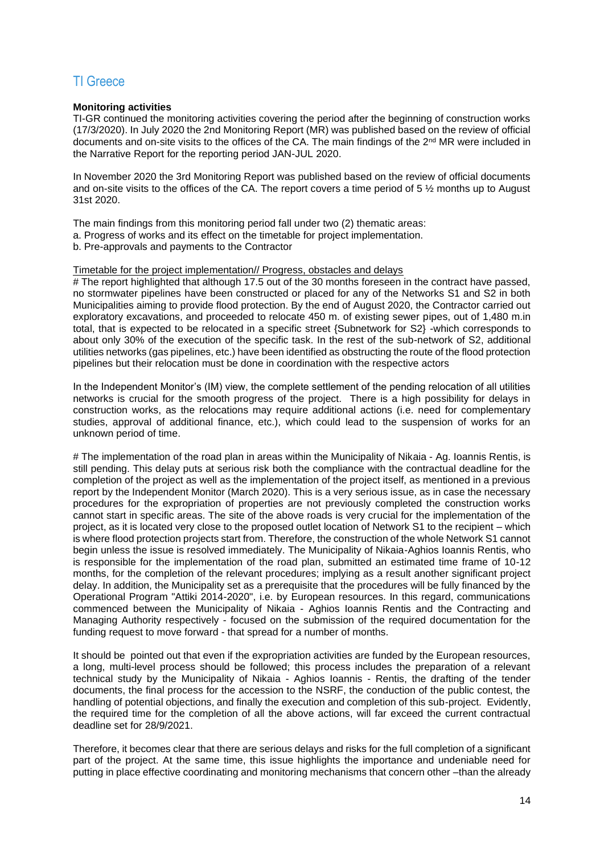# <span id="page-13-0"></span>TI Greece

# **Monitoring activities**

TI-GR continued the monitoring activities covering the period after the beginning of construction works (17/3/2020). In July 2020 the 2nd Monitoring Report (MR) was published based on the review of official documents and on-site visits to the offices of the CA. The main findings of the 2<sup>nd</sup> MR were included in the Narrative Report for the reporting period JAN-JUL 2020.

In November 2020 the 3rd Monitoring Report was published based on the review of official documents and on-site visits to the offices of the CA. The report covers a time period of 5 ½ months up to August 31st 2020.

The main findings from this monitoring period fall under two (2) thematic areas:

- a. Progress of works and its effect on the timetable for project implementation.
- b. Pre-approvals and payments to the Contractor

# Timetable for the project implementation// Progress, obstacles and delays

# The report highlighted that although 17.5 out of the 30 months foreseen in the contract have passed, no stormwater pipelines have been constructed or placed for any of the Networks S1 and S2 in both Municipalities aiming to provide flood protection. By the end of August 2020, the Contractor carried out exploratory excavations, and proceeded to relocate 450 m. of existing sewer pipes, out of 1,480 m.in total, that is expected to be relocated in a specific street {Subnetwork for S2} -which corresponds to about only 30% of the execution of the specific task. In the rest of the sub-network of S2, additional utilities networks (gas pipelines, etc.) have been identified as obstructing the route of the flood protection pipelines but their relocation must be done in coordination with the respective actors

In the Independent Monitor's (ΙΜ) view, the complete settlement of the pending relocation of all utilities networks is crucial for the smooth progress of the project. There is a high possibility for delays in construction works, as the relocations may require additional actions (i.e. need for complementary studies, approval of additional finance, etc.), which could lead to the suspension of works for an unknown period of time.

# The implementation of the road plan in areas within the Municipality of Nikaia - Ag. Ioannis Rentis, is still pending. This delay puts at serious risk both the compliance with the contractual deadline for the completion of the project as well as the implementation of the project itself, as mentioned in a previous report by the Independent Monitor (March 2020). This is a very serious issue, as in case the necessary procedures for the expropriation of properties are not previously completed the construction works cannot start in specific areas. The site of the above roads is very crucial for the implementation of the project, as it is located very close to the proposed outlet location of Network S1 to the recipient – which is where flood protection projects start from. Therefore, the construction of the whole Network S1 cannot begin unless the issue is resolved immediately. The Municipality of Nikaia-Aghios Ioannis Rentis, who is responsible for the implementation of the road plan, submitted an estimated time frame of 10-12 months, for the completion of the relevant procedures; implying as a result another significant project delay. In addition, the Municipality set as a prerequisite that the procedures will be fully financed by the Operational Program "Attiki 2014-2020", i.e. by European resources. In this regard, communications commenced between the Municipality of Nikaia - Aghios Ioannis Rentis and the Contracting and Managing Authority respectively - focused on the submission of the required documentation for the funding request to move forward - that spread for a number of months.

It should be pointed out that even if the expropriation activities are funded by the European resources, a long, multi-level process should be followed; this process includes the preparation of a relevant technical study by the Municipality of Nikaia - Aghios Ioannis - Rentis, the drafting of the tender documents, the final process for the accession to the NSRF, the conduction of the public contest, the handling of potential objections, and finally the execution and completion of this sub-project. Evidently, the required time for the completion of all the above actions, will far exceed the current contractual deadline set for 28/9/2021.

Therefore, it becomes clear that there are serious delays and risks for the full completion of a significant part of the project. At the same time, this issue highlights the importance and undeniable need for putting in place effective coordinating and monitoring mechanisms that concern other –than the already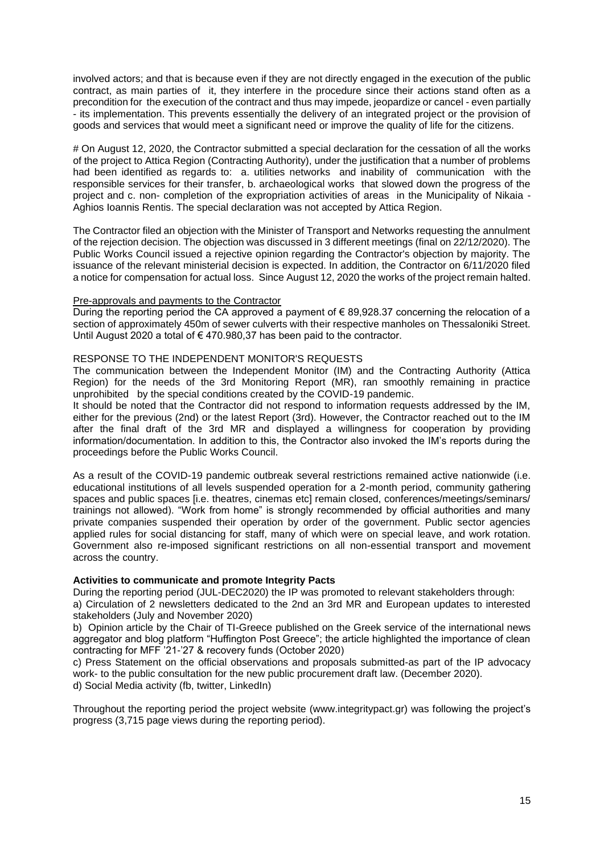involved actors; and that is because even if they are not directly engaged in the execution of the public contract, as main parties of it, they interfere in the procedure since their actions stand often as a precondition for the execution of the contract and thus may impede, jeopardize or cancel - even partially - its implementation. This prevents essentially the delivery of an integrated project or the provision of goods and services that would meet a significant need or improve the quality of life for the citizens.

# On August 12, 2020, the Contractor submitted a special declaration for the cessation of all the works of the project to Attica Region (Contracting Authority), under the justification that a number of problems had been identified as regards to: a. utilities networks and inability of communication with the responsible services for their transfer, b. archaeological works that slowed down the progress of the project and c. non- completion of the expropriation activities of areas in the Municipality of Nikaia - Aghios Ioannis Rentis. The special declaration was not accepted by Attica Region.

The Contractor filed an objection with the Minister of Transport and Networks requesting the annulment of the rejection decision. The objection was discussed in 3 different meetings (final on 22/12/2020). The Public Works Council issued a rejective opinion regarding the Contractor's objection by majority. The issuance of the relevant ministerial decision is expected. In addition, the Contractor on 6/11/2020 filed a notice for compensation for actual loss. Since August 12, 2020 the works of the project remain halted.

#### Pre-approvals and payments to the Contractor

During the reporting period the CA approved a payment of  $\epsilon$  89.928.37 concerning the relocation of a section of approximately 450m of sewer culverts with their respective manholes on Thessaloniki Street. Until August 2020 a total of € 470.980,37 has been paid to the contractor.

# RESPONSE TO THE INDEPENDENT MONITOR'S REQUESTS

The communication between the Independent Monitor (IM) and the Contracting Authority (Attica Region) for the needs of the 3rd Monitoring Report (MR), ran smoothly remaining in practice unprohibited by the special conditions created by the COVID-19 pandemic.

It should be noted that the Contractor did not respond to information requests addressed by the IM, either for the previous (2nd) or the latest Report (3rd). However, the Contractor reached out to the IM after the final draft of the 3rd MR and displayed a willingness for cooperation by providing information/documentation. In addition to this, the Contractor also invoked the IM's reports during the proceedings before the Public Works Council.

As a result of the COVID-19 pandemic outbreak several restrictions remained active nationwide (i.e. educational institutions of all levels suspended operation for a 2-month period, community gathering spaces and public spaces [i.e. theatres, cinemas etc] remain closed, conferences/meetings/seminars/ trainings not allowed). "Work from home" is strongly recommended by official authorities and many private companies suspended their operation by order of the government. Public sector agencies applied rules for social distancing for staff, many of which were on special leave, and work rotation. Government also re-imposed significant restrictions on all non-essential transport and movement across the country.

#### **Activities to communicate and promote Integrity Pacts**

During the reporting period (JUL-DEC2020) the IP was promoted to relevant stakeholders through:

a) Circulation of 2 newsletters dedicated to the 2nd an 3rd MR and European updates to interested stakeholders (July and November 2020)

b) Opinion article by the Chair of TI-Greece published on the Greek service of the international news aggregator and blog platform "Huffington Post Greece"; the article highlighted the importance of clean contracting for MFF '21-'27 & recovery funds (October 2020)

c) Press Statement on the official observations and proposals submitted-as part of the IP advocacy work- to the public consultation for the new public procurement draft law. (December 2020). d) Social Media activity (fb, twitter, LinkedIn)

Throughout the reporting period the project website (www.integritypact.gr) was following the project's progress (3,715 page views during the reporting period).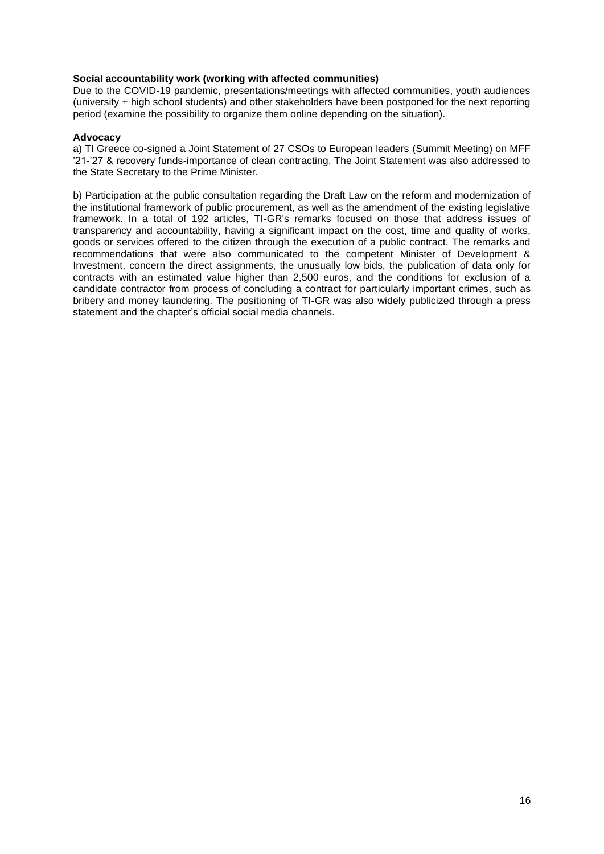# **Social accountability work (working with affected communities)**

Due to the COVID-19 pandemic, presentations/meetings with affected communities, youth audiences (university + high school students) and other stakeholders have been postponed for the next reporting period (examine the possibility to organize them online depending on the situation).

# **Advocacy**

a) TI Greece co-signed a Joint Statement of 27 CSOs to European leaders (Summit Meeting) on MFF '21-'27 & recovery funds-importance of clean contracting. The Joint Statement was also addressed to the State Secretary to the Prime Minister.

b) Participation at the public consultation regarding the Draft Law on the reform and modernization of the institutional framework of public procurement, as well as the amendment of the existing legislative framework. In a total of 192 articles, TI-GR's remarks focused on those that address issues of transparency and accountability, having a significant impact on the cost, time and quality of works, goods or services offered to the citizen through the execution of a public contract. The remarks and recommendations that were also communicated to the competent Minister of Development & Investment, concern the direct assignments, the unusually low bids, the publication of data only for contracts with an estimated value higher than 2,500 euros, and the conditions for exclusion of a candidate contractor from process of concluding a contract for particularly important crimes, such as bribery and money laundering. The positioning of TI-GR was also widely publicized through a press statement and the chapter's official social media channels.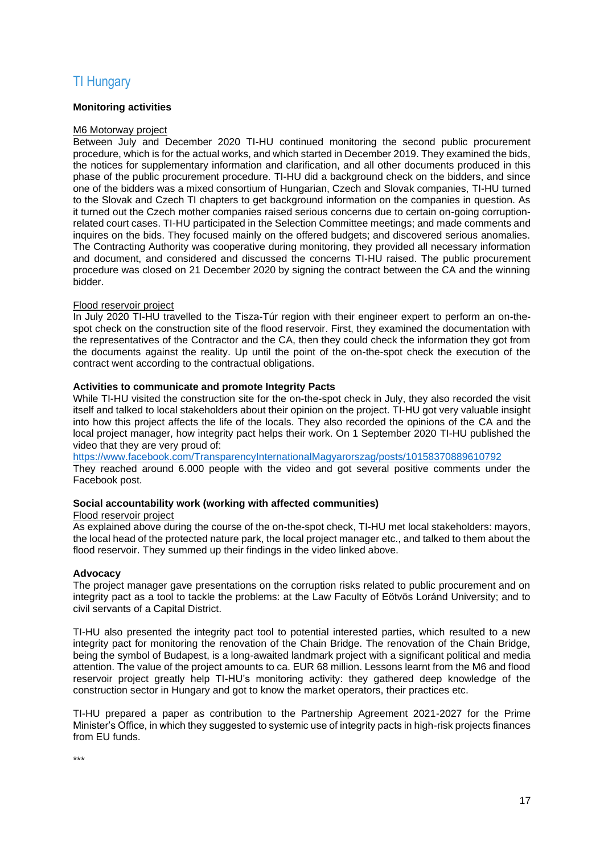# <span id="page-16-0"></span>TI Hungary

# **Monitoring activities**

#### M6 Motorway project

Between July and December 2020 TI-HU continued monitoring the second public procurement procedure, which is for the actual works, and which started in December 2019. They examined the bids, the notices for supplementary information and clarification, and all other documents produced in this phase of the public procurement procedure. TI-HU did a background check on the bidders, and since one of the bidders was a mixed consortium of Hungarian, Czech and Slovak companies, TI-HU turned to the Slovak and Czech TI chapters to get background information on the companies in question. As it turned out the Czech mother companies raised serious concerns due to certain on-going corruptionrelated court cases. TI-HU participated in the Selection Committee meetings; and made comments and inquires on the bids. They focused mainly on the offered budgets; and discovered serious anomalies. The Contracting Authority was cooperative during monitoring, they provided all necessary information and document, and considered and discussed the concerns TI-HU raised. The public procurement procedure was closed on 21 December 2020 by signing the contract between the CA and the winning bidder.

# Flood reservoir project

In July 2020 TI-HU travelled to the Tisza-Túr region with their engineer expert to perform an on-thespot check on the construction site of the flood reservoir. First, they examined the documentation with the representatives of the Contractor and the CA, then they could check the information they got from the documents against the reality. Up until the point of the on-the-spot check the execution of the contract went according to the contractual obligations.

# **Activities to communicate and promote Integrity Pacts**

While TI-HU visited the construction site for the on-the-spot check in July, they also recorded the visit itself and talked to local stakeholders about their opinion on the project. TI-HU got very valuable insight into how this project affects the life of the locals. They also recorded the opinions of the CA and the local project manager, how integrity pact helps their work. On 1 September 2020 TI-HU published the video that they are very proud of:

<https://www.facebook.com/TransparencyInternationalMagyarorszag/posts/10158370889610792> They reached around 6.000 people with the video and got several positive comments under the Facebook post.

#### **Social accountability work (working with affected communities)**

#### Flood reservoir project

As explained above during the course of the on-the-spot check, TI-HU met local stakeholders: mayors, the local head of the protected nature park, the local project manager etc., and talked to them about the flood reservoir. They summed up their findings in the video linked above.

#### **Advocacy**

The project manager gave presentations on the corruption risks related to public procurement and on integrity pact as a tool to tackle the problems: at the Law Faculty of Eötvös Loránd University; and to civil servants of a Capital District.

TI-HU also presented the integrity pact tool to potential interested parties, which resulted to a new integrity pact for monitoring the renovation of the Chain Bridge. The renovation of the Chain Bridge, being the symbol of Budapest, is a long-awaited landmark project with a significant political and media attention. The value of the project amounts to ca. EUR 68 million. Lessons learnt from the M6 and flood reservoir project greatly help TI-HU's monitoring activity: they gathered deep knowledge of the construction sector in Hungary and got to know the market operators, their practices etc.

TI-HU prepared a paper as contribution to the Partnership Agreement 2021-2027 for the Prime Minister's Office, in which they suggested to systemic use of integrity pacts in high-risk projects finances from EU funds.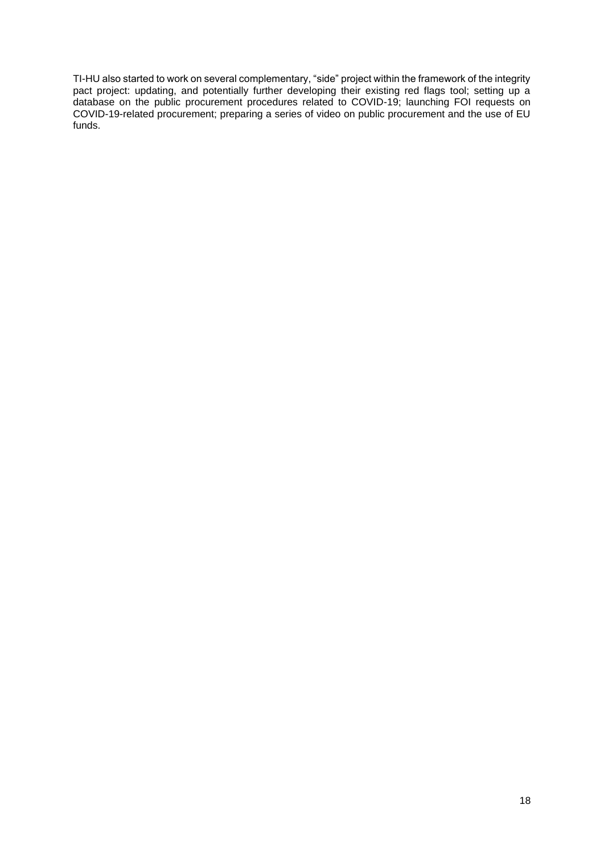TI-HU also started to work on several complementary, "side" project within the framework of the integrity pact project: updating, and potentially further developing their existing red flags tool; setting up a database on the public procurement procedures related to COVID-19; launching FOI requests on COVID-19-related procurement; preparing a series of video on public procurement and the use of EU funds.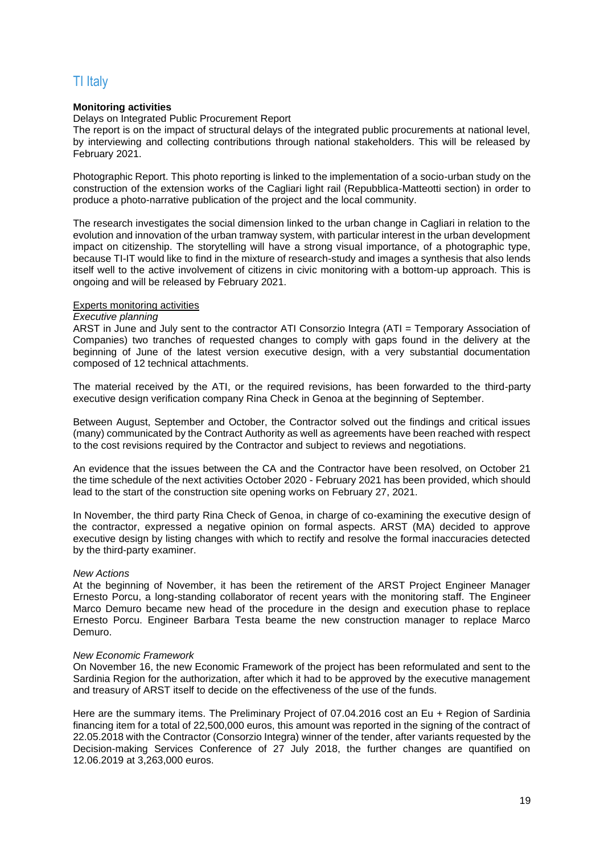# <span id="page-18-0"></span>TI Italy

# **Monitoring activities**

Delays on Integrated Public Procurement Report

The report is on the impact of structural delays of the integrated public procurements at national level, by interviewing and collecting contributions through national stakeholders. This will be released by February 2021.

Photographic Report. This photo reporting is linked to the implementation of a socio-urban study on the construction of the extension works of the Cagliari light rail (Repubblica-Matteotti section) in order to produce a photo-narrative publication of the project and the local community.

The research investigates the social dimension linked to the urban change in Cagliari in relation to the evolution and innovation of the urban tramway system, with particular interest in the urban development impact on citizenship. The storytelling will have a strong visual importance, of a photographic type, because TI-IT would like to find in the mixture of research-study and images a synthesis that also lends itself well to the active involvement of citizens in civic monitoring with a bottom-up approach. This is ongoing and will be released by February 2021.

#### Experts monitoring activities

# *Executive planning*

ARST in June and July sent to the contractor ATI Consorzio Integra (ATI = Temporary Association of Companies) two tranches of requested changes to comply with gaps found in the delivery at the beginning of June of the latest version executive design, with a very substantial documentation composed of 12 technical attachments.

The material received by the ATI, or the required revisions, has been forwarded to the third-party executive design verification company Rina Check in Genoa at the beginning of September.

Between August, September and October, the Contractor solved out the findings and critical issues (many) communicated by the Contract Authority as well as agreements have been reached with respect to the cost revisions required by the Contractor and subject to reviews and negotiations.

An evidence that the issues between the CA and the Contractor have been resolved, on October 21 the time schedule of the next activities October 2020 - February 2021 has been provided, which should lead to the start of the construction site opening works on February 27, 2021.

In November, the third party Rina Check of Genoa, in charge of co-examining the executive design of the contractor, expressed a negative opinion on formal aspects. ARST (MA) decided to approve executive design by listing changes with which to rectify and resolve the formal inaccuracies detected by the third-party examiner.

#### *New Actions*

At the beginning of November, it has been the retirement of the ARST Project Engineer Manager Ernesto Porcu, a long-standing collaborator of recent years with the monitoring staff. The Engineer Marco Demuro became new head of the procedure in the design and execution phase to replace Ernesto Porcu. Engineer Barbara Testa beame the new construction manager to replace Marco Demuro.

#### *New Economic Framework*

On November 16, the new Economic Framework of the project has been reformulated and sent to the Sardinia Region for the authorization, after which it had to be approved by the executive management and treasury of ARST itself to decide on the effectiveness of the use of the funds.

Here are the summary items. The Preliminary Project of 07.04.2016 cost an Eu + Region of Sardinia financing item for a total of 22,500,000 euros, this amount was reported in the signing of the contract of 22.05.2018 with the Contractor (Consorzio Integra) winner of the tender, after variants requested by the Decision-making Services Conference of 27 July 2018, the further changes are quantified on 12.06.2019 at 3,263,000 euros.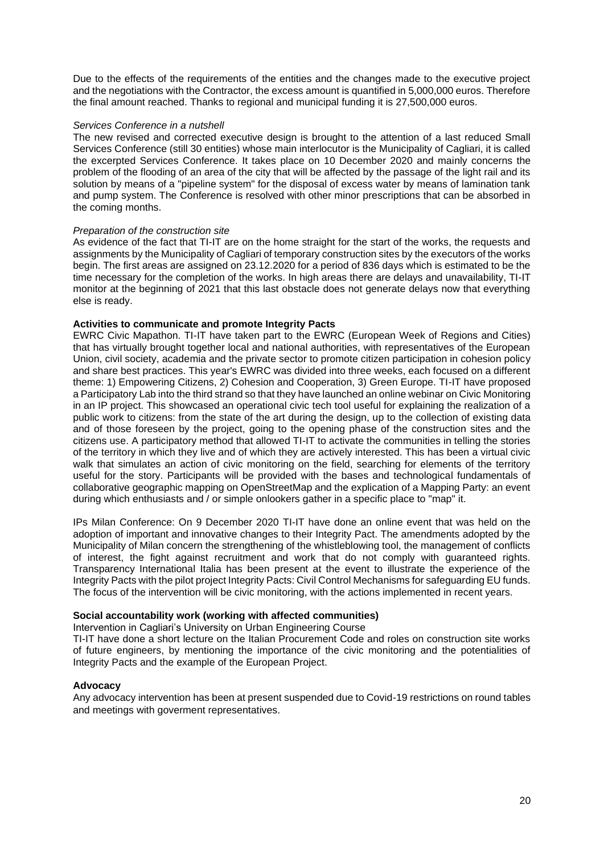Due to the effects of the requirements of the entities and the changes made to the executive project and the negotiations with the Contractor, the excess amount is quantified in 5,000,000 euros. Therefore the final amount reached. Thanks to regional and municipal funding it is 27,500,000 euros.

#### *Services Conference in a nutshell*

The new revised and corrected executive design is brought to the attention of a last reduced Small Services Conference (still 30 entities) whose main interlocutor is the Municipality of Cagliari, it is called the excerpted Services Conference. It takes place on 10 December 2020 and mainly concerns the problem of the flooding of an area of the city that will be affected by the passage of the light rail and its solution by means of a "pipeline system" for the disposal of excess water by means of lamination tank and pump system. The Conference is resolved with other minor prescriptions that can be absorbed in the coming months.

# *Preparation of the construction site*

As evidence of the fact that TI-IT are on the home straight for the start of the works, the requests and assignments by the Municipality of Cagliari of temporary construction sites by the executors of the works begin. The first areas are assigned on 23.12.2020 for a period of 836 days which is estimated to be the time necessary for the completion of the works. In high areas there are delays and unavailability, TI-IT monitor at the beginning of 2021 that this last obstacle does not generate delays now that everything else is ready.

# **Activities to communicate and promote Integrity Pacts**

EWRC Civic Mapathon. TI-IT have taken part to the EWRC (European Week of Regions and Cities) that has virtually brought together local and national authorities, with representatives of the European Union, civil society, academia and the private sector to promote citizen participation in cohesion policy and share best practices. This year's EWRC was divided into three weeks, each focused on a different theme: 1) Empowering Citizens, 2) Cohesion and Cooperation, 3) Green Europe. TI-IT have proposed a Participatory Lab into the third strand so that they have launched an online webinar on Civic Monitoring in an IP project. This showcased an operational civic tech tool useful for explaining the realization of a public work to citizens: from the state of the art during the design, up to the collection of existing data and of those foreseen by the project, going to the opening phase of the construction sites and the citizens use. A participatory method that allowed TI-IT to activate the communities in telling the stories of the territory in which they live and of which they are actively interested. This has been a virtual civic walk that simulates an action of civic monitoring on the field, searching for elements of the territory useful for the story. Participants will be provided with the bases and technological fundamentals of collaborative geographic mapping on OpenStreetMap and the explication of a Mapping Party: an event during which enthusiasts and / or simple onlookers gather in a specific place to "map" it.

IPs Milan Conference: On 9 December 2020 TI-IT have done an online event that was held on the adoption of important and innovative changes to their Integrity Pact. The amendments adopted by the Municipality of Milan concern the strengthening of the whistleblowing tool, the management of conflicts of interest, the fight against recruitment and work that do not comply with guaranteed rights. Transparency International Italia has been present at the event to illustrate the experience of the Integrity Pacts with the pilot project Integrity Pacts: Civil Control Mechanisms for safeguarding EU funds. The focus of the intervention will be civic monitoring, with the actions implemented in recent years.

#### **Social accountability work (working with affected communities)**

Intervention in Cagliari's University on Urban Engineering Course

TI-IT have done a short lecture on the Italian Procurement Code and roles on construction site works of future engineers, by mentioning the importance of the civic monitoring and the potentialities of Integrity Pacts and the example of the European Project.

#### **Advocacy**

Any advocacy intervention has been at present suspended due to Covid-19 restrictions on round tables and meetings with goverment representatives.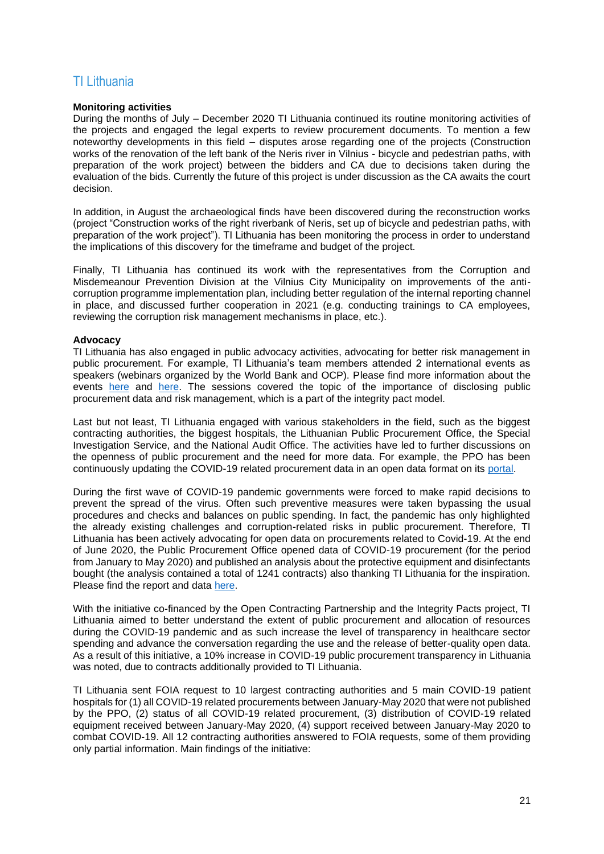# <span id="page-20-0"></span>TI Lithuania

# **Monitoring activities**

During the months of July – December 2020 TI Lithuania continued its routine monitoring activities of the projects and engaged the legal experts to review procurement documents. To mention a few noteworthy developments in this field – disputes arose regarding one of the projects (Construction works of the renovation of the left bank of the Neris river in Vilnius - bicycle and pedestrian paths, with preparation of the work project) between the bidders and CA due to decisions taken during the evaluation of the bids. Currently the future of this project is under discussion as the CA awaits the court decision.

In addition, in August the archaeological finds have been discovered during the reconstruction works (project "Construction works of the right riverbank of Neris, set up of bicycle and pedestrian paths, with preparation of the work project"). TI Lithuania has been monitoring the process in order to understand the implications of this discovery for the timeframe and budget of the project.

Finally, TI Lithuania has continued its work with the representatives from the Corruption and Misdemeanour Prevention Division at the Vilnius City Municipality on improvements of the anticorruption programme implementation plan, including better regulation of the internal reporting channel in place, and discussed further cooperation in 2021 (e.g. conducting trainings to CA employees, reviewing the corruption risk management mechanisms in place, etc.).

# **Advocacy**

TI Lithuania has also engaged in public advocacy activities, advocating for better risk management in public procurement. For example, TI Lithuania's team members attended 2 international events as speakers (webinars organized by the World Bank and OCP). Please find more information about the events [here](https://docs.google.com/document/d/1M3Ayiube5kDBWpAQfT4WKajbwqo-eWvncnrMR_XBJi8/edit) and [here.](https://ebrd.glueup.com/event/em-powered-by-ocds-data-civil-society-data-driven-procurement-monitoring-20820/?fbclid=IwAR2kE2shokarXdMUlkqCD2Vjvkka6xjz0VlAoUyJWb8E8uoZWfqYHOodbT0#speakers) The sessions covered the topic of the importance of disclosing public procurement data and risk management, which is a part of the integrity pact model.

Last but not least, TI Lithuania engaged with various stakeholders in the field, such as the biggest contracting authorities, the biggest hospitals, the Lithuanian Public Procurement Office, the Special Investigation Service, and the National Audit Office. The activities have led to further discussions on the openness of public procurement and the need for more data. For example, the PPO has been continuously updating the COVID-19 related procurement data in an open data format on its [portal.](https://vpt.lrv.lt/kovai-su-covid-19-sudarytos-sutartys)

During the first wave of COVID-19 pandemic governments were forced to make rapid decisions to prevent the spread of the virus. Often such preventive measures were taken bypassing the usual procedures and checks and balances on public spending. In fact, the pandemic has only highlighted the already existing challenges and corruption-related risks in public procurement. Therefore, TI Lithuania has been actively advocating for open data on procurements related to Covid-19. At the end of June 2020, the Public Procurement Office opened data of COVID-19 procurement (for the period from January to May 2020) and published an analysis about the protective equipment and disinfectants bought (the analysis contained a total of 1241 contracts) also thanking TI Lithuania for the inspiration. Please find the report and data [here.](https://vpt.lrv.lt/lt/naujienos/vpt-parengta-covid-19-pirkimu-ataskaita-atviri-duomenys-nustatyti-pirkimu-trukumai-ir-rekomendacijos)

With the initiative co-financed by the Open Contracting Partnership and the Integrity Pacts project, TI Lithuania aimed to better understand the extent of public procurement and allocation of resources during the COVID-19 pandemic and as such increase the level of transparency in healthcare sector spending and advance the conversation regarding the use and the release of better-quality open data. As a result of this initiative, a 10% increase in COVID-19 public procurement transparency in Lithuania was noted, due to contracts additionally provided to TI Lithuania.

TI Lithuania sent FOIA request to 10 largest contracting authorities and 5 main COVID-19 patient hospitals for (1) all COVID-19 related procurements between January-May 2020 that were not published by the PPO, (2) status of all COVID-19 related procurement, (3) distribution of COVID-19 related equipment received between January-May 2020, (4) support received between January-May 2020 to combat COVID-19. All 12 contracting authorities answered to FOIA requests, some of them providing only partial information. Main findings of the initiative: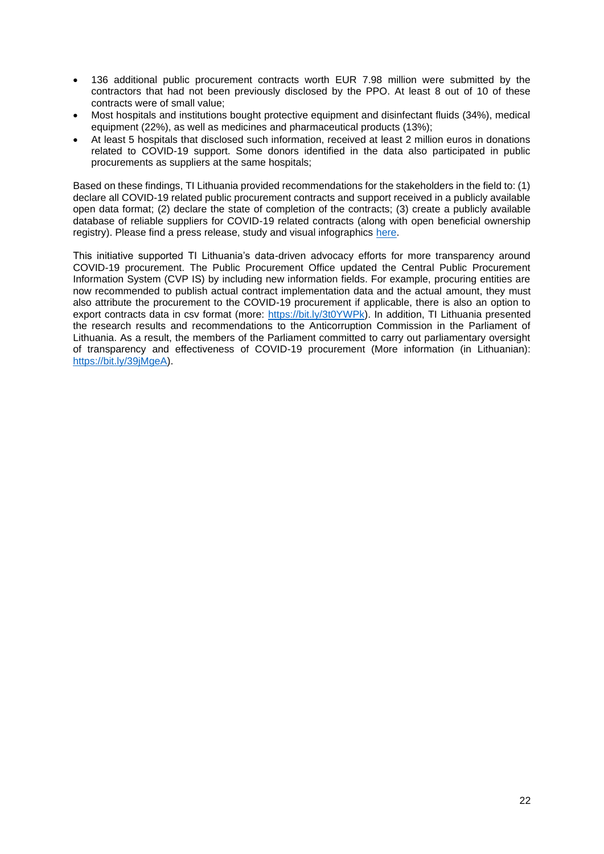- 136 additional public procurement contracts worth EUR 7.98 million were submitted by the contractors that had not been previously disclosed by the PPO. At least 8 out of 10 of these contracts were of small value;
- Most hospitals and institutions bought protective equipment and disinfectant fluids (34%), medical equipment (22%), as well as medicines and pharmaceutical products (13%);
- At least 5 hospitals that disclosed such information, received at least 2 million euros in donations related to COVID-19 support. Some donors identified in the data also participated in public procurements as suppliers at the same hospitals;

Based on these findings, TI Lithuania provided recommendations for the stakeholders in the field to: (1) declare all COVID-19 related public procurement contracts and support received in a publicly available open data format; (2) declare the state of completion of the contracts; (3) create a publicly available database of reliable suppliers for COVID-19 related contracts (along with open beneficial ownership registry). Please find a press release, study and visual infographics [here.](https://www.transparency.lt/en/tilc-decision-makers-and-monitoring-authorities-may-not-have-been-aware-of-about-one-tenth-of-the-money-spent-on-fighting-the-pandemic/)

This initiative supported TI Lithuania's data-driven advocacy efforts for more transparency around COVID-19 procurement. The Public Procurement Office updated the Central Public Procurement Information System (CVP IS) by including new information fields. For example, procuring entities are now recommended to publish actual contract implementation data and the actual amount, they must also attribute the procurement to the COVID-19 procurement if applicable, there is also an option to export contracts data in csv format (more: [https://bit.ly/3t0YWPk\)](https://bit.ly/3t0YWPk). In addition, TI Lithuania presented the research results and recommendations to the Anticorruption Commission in the Parliament of Lithuania. As a result, the members of the Parliament committed to carry out parliamentary oversight of transparency and effectiveness of COVID-19 procurement (More information (in Lithuanian): [https://bit.ly/39jMgeA\)](https://bit.ly/39jMgeA).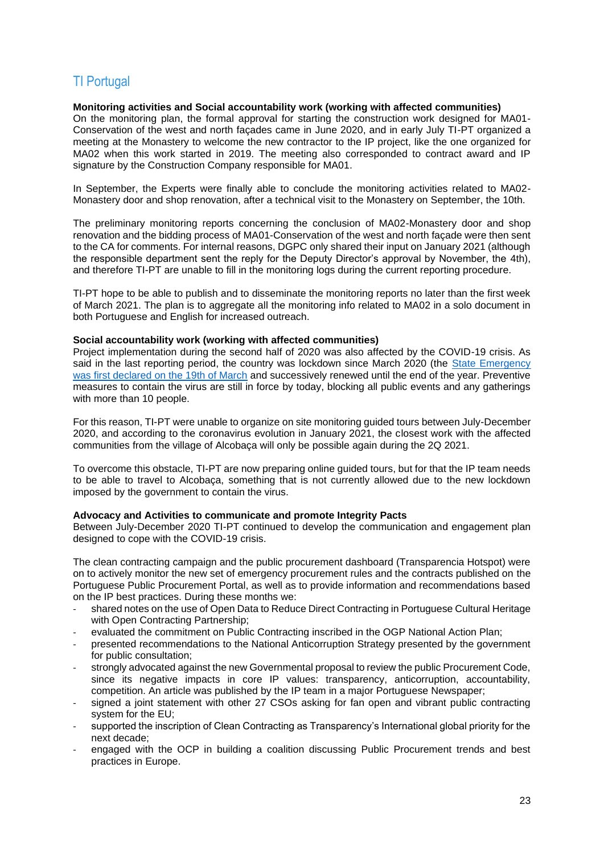# <span id="page-22-0"></span>TI Portugal

# **Monitoring activities and Social accountability work (working with affected communities)**

On the monitoring plan, the formal approval for starting the construction work designed for MA01- Conservation of the west and north façades came in June 2020, and in early July TI-PT organized a meeting at the Monastery to welcome the new contractor to the IP project, like the one organized for MA02 when this work started in 2019. The meeting also corresponded to contract award and IP signature by the Construction Company responsible for MA01.

In September, the Experts were finally able to conclude the monitoring activities related to MA02- Monastery door and shop renovation, after a technical visit to the Monastery on September, the 10th.

The preliminary monitoring reports concerning the conclusion of MA02-Monastery door and shop renovation and the bidding process of MA01-Conservation of the west and north façade were then sent to the CA for comments. For internal reasons, DGPC only shared their input on January 2021 (although the responsible department sent the reply for the Deputy Director's approval by November, the 4th), and therefore TI-PT are unable to fill in the monitoring logs during the current reporting procedure.

TI-PT hope to be able to publish and to disseminate the monitoring reports no later than the first week of March 2021. The plan is to aggregate all the monitoring info related to MA02 in a solo document in both Portuguese and English for increased outreach.

#### **Social accountability work (working with affected communities)**

Project implementation during the second half of 2020 was also affected by the COVID-19 crisis. As said in the last reporting period, the country was lockdown since March 2020 (the [State Emergency](https://www.reuters.com/article/us-health-coronavirus-portugal/portugal-restricts-movement-to-stem-coronavirus-rules-out-rationing-idUSKBN2163WD)  [was first declared on the 19th of March](https://www.reuters.com/article/us-health-coronavirus-portugal/portugal-restricts-movement-to-stem-coronavirus-rules-out-rationing-idUSKBN2163WD) and successively renewed until the end of the year. Preventive measures to contain the virus are still in force by today, blocking all public events and any gatherings with more than 10 people.

For this reason, TI-PT were unable to organize on site monitoring guided tours between July-December 2020, and according to the coronavirus evolution in January 2021, the closest work with the affected communities from the village of Alcobaça will only be possible again during the 2Q 2021.

To overcome this obstacle, TI-PT are now preparing online guided tours, but for that the IP team needs to be able to travel to Alcobaça, something that is not currently allowed due to the new lockdown imposed by the government to contain the virus.

# **Advocacy and Activities to communicate and promote Integrity Pacts**

Between July-December 2020 TI-PT continued to develop the communication and engagement plan designed to cope with the COVID-19 crisis.

The clean contracting campaign and the public procurement dashboard (Transparencia Hotspot) were on to actively monitor the new set of emergency procurement rules and the contracts published on the Portuguese Public Procurement Portal, as well as to provide information and recommendations based on the IP best practices. During these months we:

- shared notes on the use of Open Data to Reduce Direct Contracting in Portuguese Cultural Heritage with Open Contracting Partnership:
- evaluated the commitment on Public Contracting inscribed in the OGP National Action Plan;
- presented recommendations to the National Anticorruption Strategy presented by the government for public consultation;
- strongly advocated against the new Governmental proposal to review the public Procurement Code, since its negative impacts in core IP values: transparency, anticorruption, accountability, competition. An article was published by the IP team in a major Portuguese Newspaper;
- signed a joint statement with other 27 CSOs asking for fan open and vibrant public contracting system for the EU;
- supported the inscription of Clean Contracting as Transparency's International global priority for the next decade;
- engaged with the OCP in building a coalition discussing Public Procurement trends and best practices in Europe.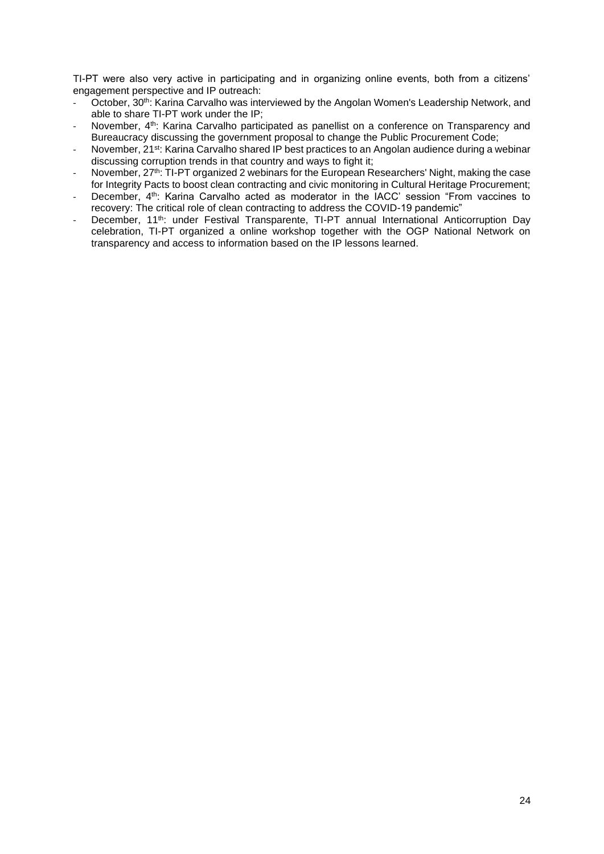TI-PT were also very active in participating and in organizing online events, both from a citizens' engagement perspective and IP outreach:

- October, 30<sup>th</sup>: Karina Carvalho was interviewed by the Angolan Women's Leadership Network, and able to share TI-PT work under the IP;
- November, 4<sup>th</sup>: Karina Carvalho participated as panellist on a conference on Transparency and Bureaucracy discussing the government proposal to change the Public Procurement Code;
- November, 21<sup>st</sup>: Karina Carvalho shared IP best practices to an Angolan audience during a webinar discussing corruption trends in that country and ways to fight it;
- November, 27<sup>th</sup>: TI-PT organized 2 webinars for the European Researchers' Night, making the case for Integrity Pacts to boost clean contracting and civic monitoring in Cultural Heritage Procurement;
- December, 4<sup>th</sup>: Karina Carvalho acted as moderator in the IACC' session "From vaccines to recovery: The critical role of clean contracting to address the COVID-19 pandemic"
- December, 11<sup>th</sup>: under Festival Transparente, TI-PT annual International Anticorruption Day celebration, TI-PT organized a online workshop together with the OGP National Network on transparency and access to information based on the IP lessons learned.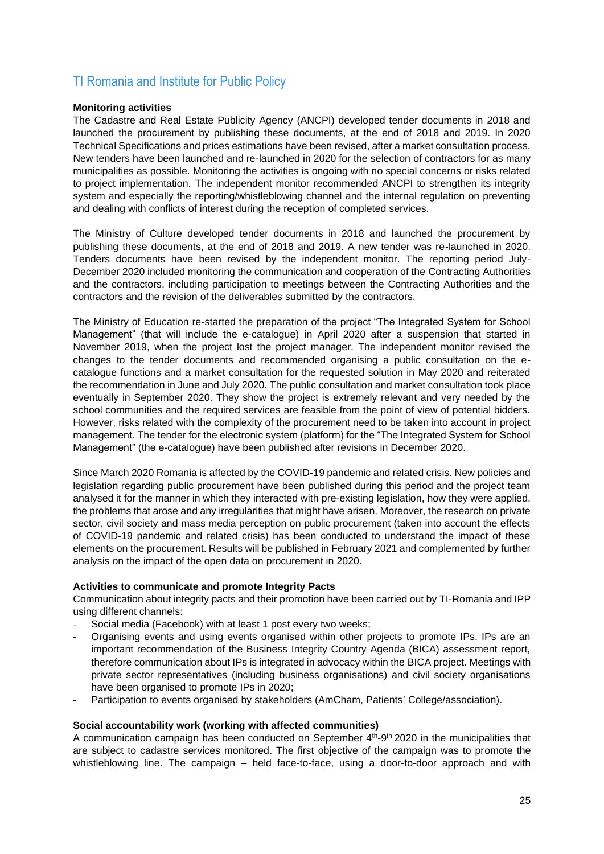# <span id="page-24-0"></span>TI Romania and Institute for Public Policy

# **Monitoring activities**

The Cadastre and Real Estate Publicity Agency (ANCPI) developed tender documents in 2018 and launched the procurement by publishing these documents, at the end of 2018 and 2019. In 2020 Technical Specifications and prices estimations have been revised, after a market consultation process. New tenders have been launched and re-launched in 2020 for the selection of contractors for as many municipalities as possible. Monitoring the activities is ongoing with no special concerns or risks related to project implementation. The independent monitor recommended ANCPI to strengthen its integrity system and especially the reporting/whistleblowing channel and the internal regulation on preventing and dealing with conflicts of interest during the reception of completed services.

The Ministry of Culture developed tender documents in 2018 and launched the procurement by publishing these documents, at the end of 2018 and 2019. A new tender was re-launched in 2020. Tenders documents have been revised by the independent monitor. The reporting period July-December 2020 included monitoring the communication and cooperation of the Contracting Authorities and the contractors, including participation to meetings between the Contracting Authorities and the contractors and the revision of the deliverables submitted by the contractors.

The Ministry of Education re-started the preparation of the project "The Integrated System for School Management" (that will include the e-catalogue) in April 2020 after a suspension that started in November 2019, when the project lost the project manager. The independent monitor revised the changes to the tender documents and recommended organising a public consultation on the ecatalogue functions and a market consultation for the requested solution in May 2020 and reiterated the recommendation in June and July 2020. The public consultation and market consultation took place eventually in September 2020. They show the project is extremely relevant and very needed by the school communities and the required services are feasible from the point of view of potential bidders. However, risks related with the complexity of the procurement need to be taken into account in project management. The tender for the electronic system (platform) for the "The Integrated System for School Management" (the e-catalogue) have been published after revisions in December 2020.

Since March 2020 Romania is affected by the COVID-19 pandemic and related crisis. New policies and legislation regarding public procurement have been published during this period and the project team analysed it for the manner in which they interacted with pre-existing legislation, how they were applied, the problems that arose and any irregularities that might have arisen. Moreover, the research on private sector, civil society and mass media perception on public procurement (taken into account the effects of COVID-19 pandemic and related crisis) has been conducted to understand the impact of these elements on the procurement. Results will be published in February 2021 and complemented by further analysis on the impact of the open data on procurement in 2020.

#### **Activities to communicate and promote Integrity Pacts**

Communication about integrity pacts and their promotion have been carried out by TI-Romania and IPP using different channels:

- Social media (Facebook) with at least 1 post every two weeks;
- Organising events and using events organised within other projects to promote IPs. IPs are an important recommendation of the Business Integrity Country Agenda (BICA) assessment report, therefore communication about IPs is integrated in advocacy within the BICA project. Meetings with private sector representatives (including business organisations) and civil society organisations have been organised to promote IPs in 2020;
- Participation to events organised by stakeholders (AmCham, Patients' College/association).

#### **Social accountability work (working with affected communities)**

A communication campaign has been conducted on September  $4<sup>th</sup>$ -9<sup>th</sup> 2020 in the municipalities that are subject to cadastre services monitored. The first objective of the campaign was to promote the whistleblowing line. The campaign – held face-to-face, using a door-to-door approach and with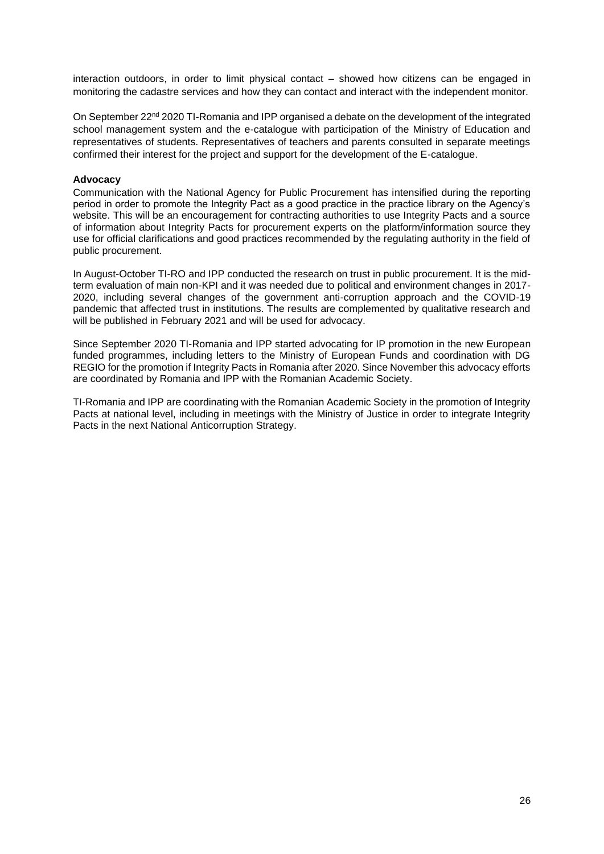interaction outdoors, in order to limit physical contact – showed how citizens can be engaged in monitoring the cadastre services and how they can contact and interact with the independent monitor.

On September  $22<sup>nd</sup> 2020$  TI-Romania and IPP organised a debate on the development of the integrated school management system and the e-catalogue with participation of the Ministry of Education and representatives of students. Representatives of teachers and parents consulted in separate meetings confirmed their interest for the project and support for the development of the E-catalogue.

# **Advocacy**

Communication with the National Agency for Public Procurement has intensified during the reporting period in order to promote the Integrity Pact as a good practice in the practice library on the Agency's website. This will be an encouragement for contracting authorities to use Integrity Pacts and a source of information about Integrity Pacts for procurement experts on the platform/information source they use for official clarifications and good practices recommended by the regulating authority in the field of public procurement.

In August-October TI-RO and IPP conducted the research on trust in public procurement. It is the midterm evaluation of main non-KPI and it was needed due to political and environment changes in 2017- 2020, including several changes of the government anti-corruption approach and the COVID-19 pandemic that affected trust in institutions. The results are complemented by qualitative research and will be published in February 2021 and will be used for advocacy.

Since September 2020 TI-Romania and IPP started advocating for IP promotion in the new European funded programmes, including letters to the Ministry of European Funds and coordination with DG REGIO for the promotion if Integrity Pacts in Romania after 2020. Since November this advocacy efforts are coordinated by Romania and IPP with the Romanian Academic Society.

TI-Romania and IPP are coordinating with the Romanian Academic Society in the promotion of Integrity Pacts at national level, including in meetings with the Ministry of Justice in order to integrate Integrity Pacts in the next National Anticorruption Strategy.